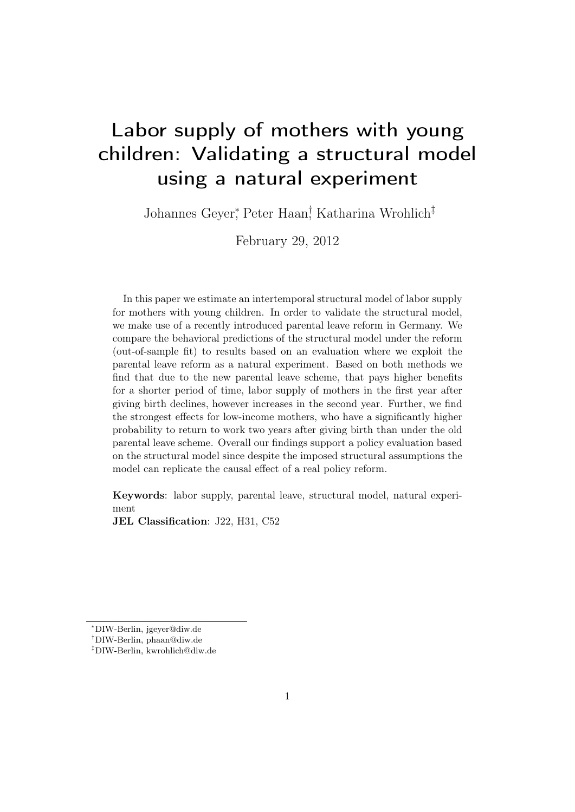# Labor supply of mothers with young children: Validating a structural model using a natural experiment

Johannes Geyer<sup>∗</sup> , Peter Haan† , Katharina Wrohlich‡

February 29, 2012

In this paper we estimate an intertemporal structural model of labor supply for mothers with young children. In order to validate the structural model, we make use of a recently introduced parental leave reform in Germany. We compare the behavioral predictions of the structural model under the reform (out-of-sample fit) to results based on an evaluation where we exploit the parental leave reform as a natural experiment. Based on both methods we find that due to the new parental leave scheme, that pays higher benefits for a shorter period of time, labor supply of mothers in the first year after giving birth declines, however increases in the second year. Further, we find the strongest effects for low-income mothers, who have a significantly higher probability to return to work two years after giving birth than under the old parental leave scheme. Overall our findings support a policy evaluation based on the structural model since despite the imposed structural assumptions the model can replicate the causal effect of a real policy reform.

Keywords: labor supply, parental leave, structural model, natural experiment

JEL Classification: J22, H31, C52

<sup>∗</sup>DIW-Berlin, jgeyer@diw.de

<sup>†</sup>DIW-Berlin, phaan@diw.de

<sup>‡</sup>DIW-Berlin, kwrohlich@diw.de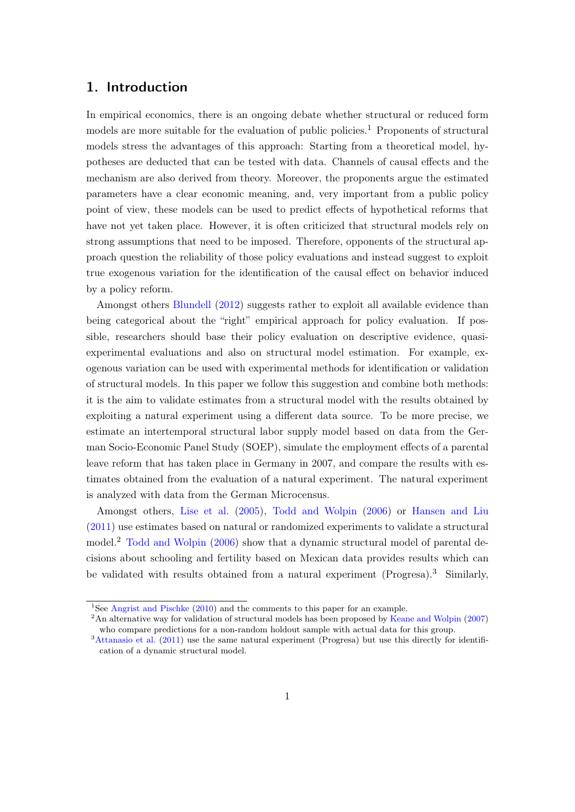## 1. Introduction

In empirical economics, there is an ongoing debate whether structural or reduced form models are more suitable for the evaluation of public policies.<sup>1</sup> Proponents of structural models stress the advantages of this approach: Starting from a theoretical model, hypotheses are deducted that can be tested with data. Channels of causal effects and the mechanism are also derived from theory. Moreover, the proponents argue the estimated parameters have a clear economic meaning, and, very important from a public policy point of view, these models can be used to predict effects of hypothetical reforms that have not yet taken place. However, it is often criticized that structural models rely on strong assumptions that need to be imposed. Therefore, opponents of the structural approach question the reliability of those policy evaluations and instead suggest to exploit true exogenous variation for the identification of the causal effect on behavior induced by a policy reform.

Amongst others [Blundell](#page-26-0) [\(2012\)](#page-26-0) suggests rather to exploit all available evidence than being categorical about the "right" empirical approach for policy evaluation. If possible, researchers should base their policy evaluation on descriptive evidence, quasiexperimental evaluations and also on structural model estimation. For example, exogenous variation can be used with experimental methods for identification or validation of structural models. In this paper we follow this suggestion and combine both methods: it is the aim to validate estimates from a structural model with the results obtained by exploiting a natural experiment using a different data source. To be more precise, we estimate an intertemporal structural labor supply model based on data from the German Socio-Economic Panel Study (SOEP), simulate the employment effects of a parental leave reform that has taken place in Germany in 2007, and compare the results with estimates obtained from the evaluation of a natural experiment. The natural experiment is analyzed with data from the German Microcensus.

Amongst others, [Lise et al.](#page-27-0) [\(2005\)](#page-27-0), [Todd and Wolpin](#page-28-0) [\(2006\)](#page-28-0) or [Hansen and Liu](#page-26-1) [\(2011\)](#page-26-1) use estimates based on natural or randomized experiments to validate a structural model.<sup>2</sup> [Todd and Wolpin](#page-28-0) [\(2006\)](#page-28-0) show that a dynamic structural model of parental decisions about schooling and fertility based on Mexican data provides results which can be validated with results obtained from a natural experiment (Progresa).<sup>3</sup> Similarly,

<sup>&</sup>lt;sup>1</sup>See [Angrist and Pischke](#page-26-2) [\(2010\)](#page-26-2) and the comments to this paper for an example.

<sup>&</sup>lt;sup>2</sup>An alternative way for validation of structural models has been proposed by [Keane and Wolpin](#page-26-3) [\(2007\)](#page-26-3) who compare predictions for a non-random holdout sample with actual data for this group.

<sup>&</sup>lt;sup>3</sup>[Attanasio et al.](#page-26-4) [\(2011\)](#page-26-4) use the same natural experiment (Progresa) but use this directly for identification of a dynamic structural model.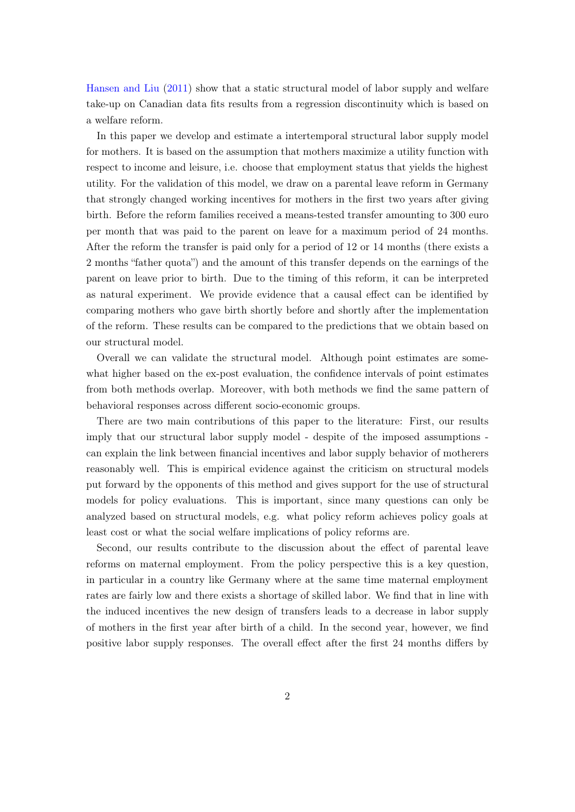[Hansen and Liu](#page-26-1) [\(2011\)](#page-26-1) show that a static structural model of labor supply and welfare take-up on Canadian data fits results from a regression discontinuity which is based on a welfare reform.

In this paper we develop and estimate a intertemporal structural labor supply model for mothers. It is based on the assumption that mothers maximize a utility function with respect to income and leisure, i.e. choose that employment status that yields the highest utility. For the validation of this model, we draw on a parental leave reform in Germany that strongly changed working incentives for mothers in the first two years after giving birth. Before the reform families received a means-tested transfer amounting to 300 euro per month that was paid to the parent on leave for a maximum period of 24 months. After the reform the transfer is paid only for a period of 12 or 14 months (there exists a 2 months "father quota") and the amount of this transfer depends on the earnings of the parent on leave prior to birth. Due to the timing of this reform, it can be interpreted as natural experiment. We provide evidence that a causal effect can be identified by comparing mothers who gave birth shortly before and shortly after the implementation of the reform. These results can be compared to the predictions that we obtain based on our structural model.

Overall we can validate the structural model. Although point estimates are somewhat higher based on the ex-post evaluation, the confidence intervals of point estimates from both methods overlap. Moreover, with both methods we find the same pattern of behavioral responses across different socio-economic groups.

There are two main contributions of this paper to the literature: First, our results imply that our structural labor supply model - despite of the imposed assumptions can explain the link between financial incentives and labor supply behavior of motherers reasonably well. This is empirical evidence against the criticism on structural models put forward by the opponents of this method and gives support for the use of structural models for policy evaluations. This is important, since many questions can only be analyzed based on structural models, e.g. what policy reform achieves policy goals at least cost or what the social welfare implications of policy reforms are.

Second, our results contribute to the discussion about the effect of parental leave reforms on maternal employment. From the policy perspective this is a key question, in particular in a country like Germany where at the same time maternal employment rates are fairly low and there exists a shortage of skilled labor. We find that in line with the induced incentives the new design of transfers leads to a decrease in labor supply of mothers in the first year after birth of a child. In the second year, however, we find positive labor supply responses. The overall effect after the first 24 months differs by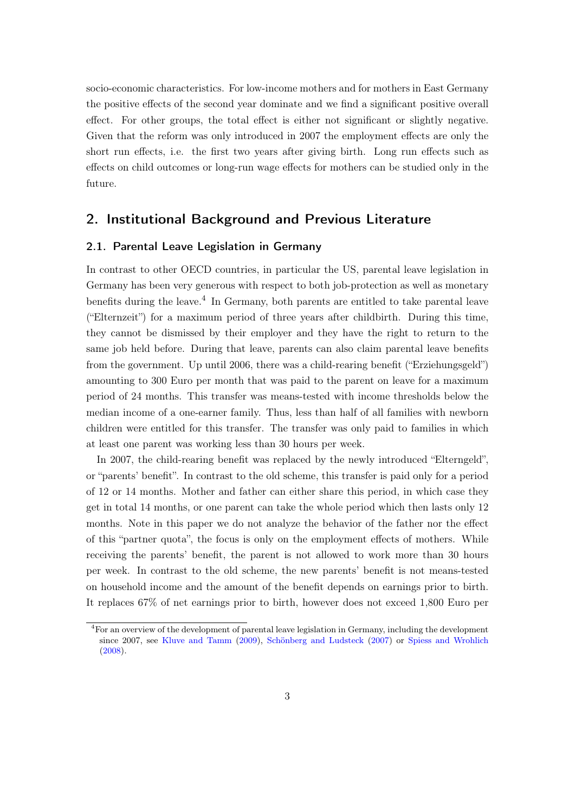socio-economic characteristics. For low-income mothers and for mothers in East Germany the positive effects of the second year dominate and we find a significant positive overall effect. For other groups, the total effect is either not significant or slightly negative. Given that the reform was only introduced in 2007 the employment effects are only the short run effects, i.e. the first two years after giving birth. Long run effects such as effects on child outcomes or long-run wage effects for mothers can be studied only in the future.

## 2. Institutional Background and Previous Literature

#### 2.1. Parental Leave Legislation in Germany

In contrast to other OECD countries, in particular the US, parental leave legislation in Germany has been very generous with respect to both job-protection as well as monetary benefits during the leave.<sup>4</sup> In Germany, both parents are entitled to take parental leave ("Elternzeit") for a maximum period of three years after childbirth. During this time, they cannot be dismissed by their employer and they have the right to return to the same job held before. During that leave, parents can also claim parental leave benefits from the government. Up until 2006, there was a child-rearing benefit ("Erziehungsgeld") amounting to 300 Euro per month that was paid to the parent on leave for a maximum period of 24 months. This transfer was means-tested with income thresholds below the median income of a one-earner family. Thus, less than half of all families with newborn children were entitled for this transfer. The transfer was only paid to families in which at least one parent was working less than 30 hours per week.

In 2007, the child-rearing benefit was replaced by the newly introduced "Elterngeld", or "parents' benefit". In contrast to the old scheme, this transfer is paid only for a period of 12 or 14 months. Mother and father can either share this period, in which case they get in total 14 months, or one parent can take the whole period which then lasts only 12 months. Note in this paper we do not analyze the behavior of the father nor the effect of this "partner quota", the focus is only on the employment effects of mothers. While receiving the parents' benefit, the parent is not allowed to work more than 30 hours per week. In contrast to the old scheme, the new parents' benefit is not means-tested on household income and the amount of the benefit depends on earnings prior to birth. It replaces 67% of net earnings prior to birth, however does not exceed 1,800 Euro per

<sup>4</sup>For an overview of the development of parental leave legislation in Germany, including the development since 2007, see [Kluve and Tamm](#page-27-1) [\(2009\)](#page-27-1), [Schönberg and Ludsteck](#page-27-2) [\(2007\)](#page-27-2) or [Spiess and Wrohlich](#page-27-3) [\(2008\)](#page-27-3).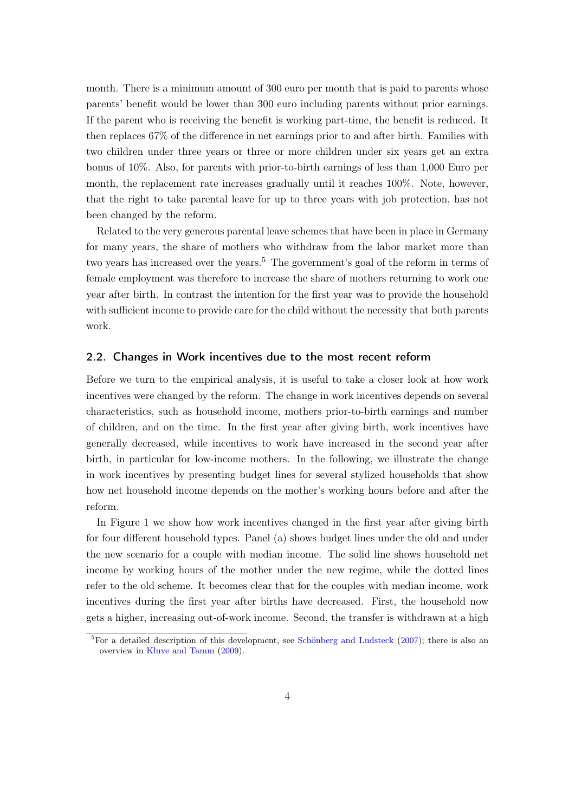month. There is a minimum amount of 300 euro per month that is paid to parents whose parents' benefit would be lower than 300 euro including parents without prior earnings. If the parent who is receiving the benefit is working part-time, the benefit is reduced. It then replaces 67% of the difference in net earnings prior to and after birth. Families with two children under three years or three or more children under six years get an extra bonus of 10%. Also, for parents with prior-to-birth earnings of less than 1,000 Euro per month, the replacement rate increases gradually until it reaches 100%. Note, however, that the right to take parental leave for up to three years with job protection, has not been changed by the reform.

Related to the very generous parental leave schemes that have been in place in Germany for many years, the share of mothers who withdraw from the labor market more than two years has increased over the years.<sup>5</sup> The government's goal of the reform in terms of female employment was therefore to increase the share of mothers returning to work one year after birth. In contrast the intention for the first year was to provide the household with sufficient income to provide care for the child without the necessity that both parents work.

#### 2.2. Changes in Work incentives due to the most recent reform

Before we turn to the empirical analysis, it is useful to take a closer look at how work incentives were changed by the reform. The change in work incentives depends on several characteristics, such as household income, mothers prior-to-birth earnings and number of children, and on the time. In the first year after giving birth, work incentives have generally decreased, while incentives to work have increased in the second year after birth, in particular for low-income mothers. In the following, we illustrate the change in work incentives by presenting budget lines for several stylized households that show how net household income depends on the mother's working hours before and after the reform.

In Figure 1 we show how work incentives changed in the first year after giving birth for four different household types. Panel (a) shows budget lines under the old and under the new scenario for a couple with median income. The solid line shows household net income by working hours of the mother under the new regime, while the dotted lines refer to the old scheme. It becomes clear that for the couples with median income, work incentives during the first year after births have decreased. First, the household now gets a higher, increasing out-of-work income. Second, the transfer is withdrawn at a high

 ${}^{5}$ For a detailed description of this development, see [Schönberg and Ludsteck](#page-27-2) [\(2007\)](#page-27-2); there is also an overview in [Kluve and Tamm](#page-27-1) [\(2009\)](#page-27-1).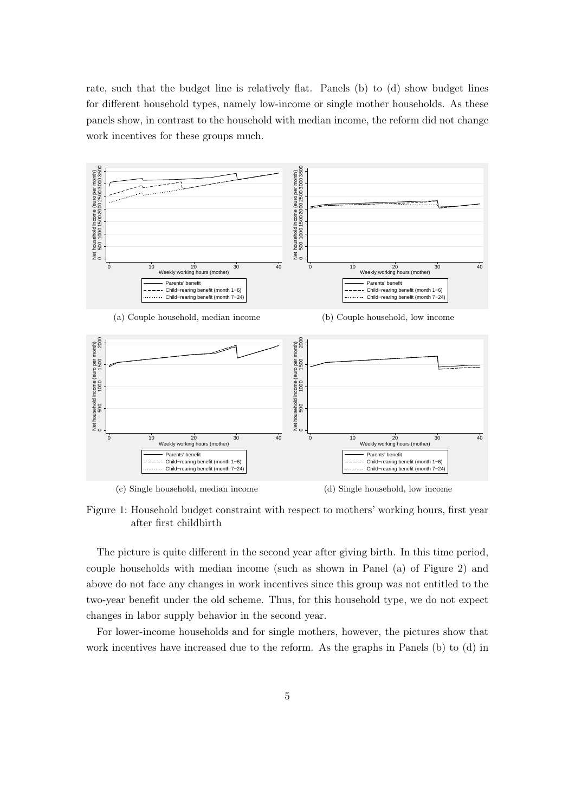rate, such that the budget line is relatively flat. Panels (b) to (d) show budget lines for different household types, namely low-income or single mother households. As these panels show, in contrast to the household with median income, the reform did not change work incentives for these groups much.



Figure 1: Household budget constraint with respect to mothers' working hours, first year after first childbirth

The picture is quite different in the second year after giving birth. In this time period, couple households with median income (such as shown in Panel (a) of Figure 2) and above do not face any changes in work incentives since this group was not entitled to the two-year benefit under the old scheme. Thus, for this household type, we do not expect changes in labor supply behavior in the second year.

For lower-income households and for single mothers, however, the pictures show that work incentives have increased due to the reform. As the graphs in Panels (b) to (d) in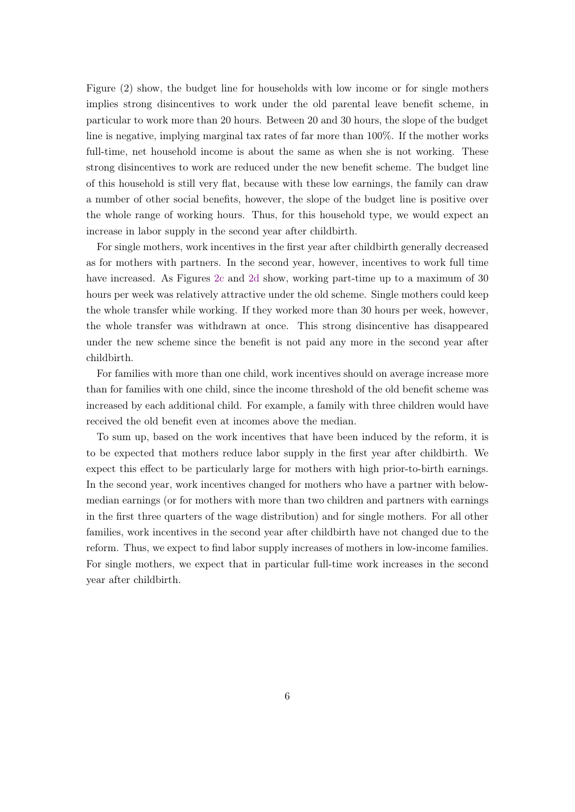Figure (2) show, the budget line for households with low income or for single mothers implies strong disincentives to work under the old parental leave benefit scheme, in particular to work more than 20 hours. Between 20 and 30 hours, the slope of the budget line is negative, implying marginal tax rates of far more than 100%. If the mother works full-time, net household income is about the same as when she is not working. These strong disincentives to work are reduced under the new benefit scheme. The budget line of this household is still very flat, because with these low earnings, the family can draw a number of other social benefits, however, the slope of the budget line is positive over the whole range of working hours. Thus, for this household type, we would expect an increase in labor supply in the second year after childbirth.

For single mothers, work incentives in the first year after childbirth generally decreased as for mothers with partners. In the second year, however, incentives to work full time have increased. As Figures [2c](#page-7-0) and [2d](#page-7-1) show, working part-time up to a maximum of 30 hours per week was relatively attractive under the old scheme. Single mothers could keep the whole transfer while working. If they worked more than 30 hours per week, however, the whole transfer was withdrawn at once. This strong disincentive has disappeared under the new scheme since the benefit is not paid any more in the second year after childbirth.

For families with more than one child, work incentives should on average increase more than for families with one child, since the income threshold of the old benefit scheme was increased by each additional child. For example, a family with three children would have received the old benefit even at incomes above the median.

To sum up, based on the work incentives that have been induced by the reform, it is to be expected that mothers reduce labor supply in the first year after childbirth. We expect this effect to be particularly large for mothers with high prior-to-birth earnings. In the second year, work incentives changed for mothers who have a partner with belowmedian earnings (or for mothers with more than two children and partners with earnings in the first three quarters of the wage distribution) and for single mothers. For all other families, work incentives in the second year after childbirth have not changed due to the reform. Thus, we expect to find labor supply increases of mothers in low-income families. For single mothers, we expect that in particular full-time work increases in the second year after childbirth.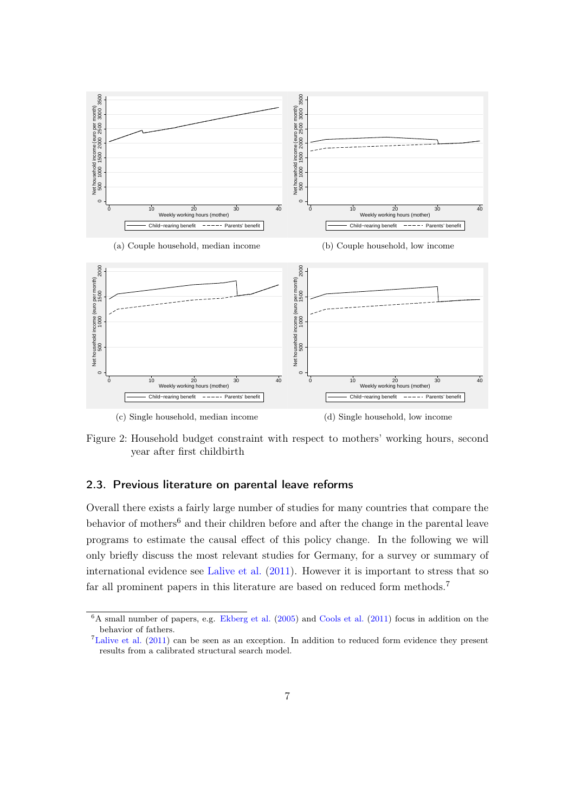

<span id="page-7-1"></span><span id="page-7-0"></span>Figure 2: Household budget constraint with respect to mothers' working hours, second year after first childbirth

#### 2.3. Previous literature on parental leave reforms

Overall there exists a fairly large number of studies for many countries that compare the behavior of mothers<sup>6</sup> and their children before and after the change in the parental leave programs to estimate the causal effect of this policy change. In the following we will only briefly discuss the most relevant studies for Germany, for a survey or summary of international evidence see [Lalive et al.](#page-27-4) [\(2011\)](#page-27-4). However it is important to stress that so far all prominent papers in this literature are based on reduced form methods.<sup>7</sup>

 ${}^{6}$ A small number of papers, e.g. [Ekberg et al.](#page-26-5) [\(2005\)](#page-26-5) and [Cools et al.](#page-26-6) [\(2011\)](#page-26-6) focus in addition on the behavior of fathers.

<sup>7</sup>[Lalive et al.](#page-27-4) [\(2011\)](#page-27-4) can be seen as an exception. In addition to reduced form evidence they present results from a calibrated structural search model.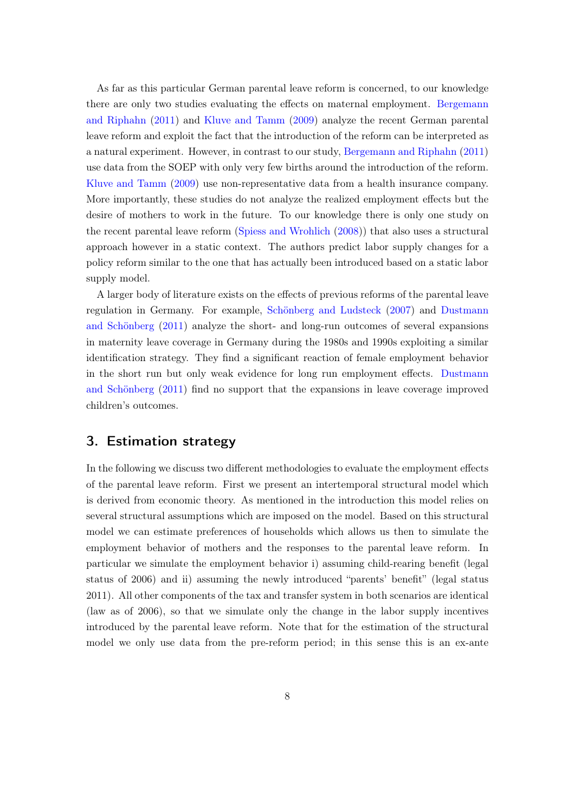As far as this particular German parental leave reform is concerned, to our knowledge there are only two studies evaluating the effects on maternal employment. [Bergemann](#page-26-7) [and Riphahn](#page-26-7) [\(2011\)](#page-26-7) and [Kluve and Tamm](#page-27-1) [\(2009\)](#page-27-1) analyze the recent German parental leave reform and exploit the fact that the introduction of the reform can be interpreted as a natural experiment. However, in contrast to our study, [Bergemann and Riphahn](#page-26-7) [\(2011\)](#page-26-7) use data from the SOEP with only very few births around the introduction of the reform. [Kluve and Tamm](#page-27-1) [\(2009\)](#page-27-1) use non-representative data from a health insurance company. More importantly, these studies do not analyze the realized employment effects but the desire of mothers to work in the future. To our knowledge there is only one study on the recent parental leave reform [\(Spiess and Wrohlich](#page-27-3) [\(2008\)](#page-27-3)) that also uses a structural approach however in a static context. The authors predict labor supply changes for a policy reform similar to the one that has actually been introduced based on a static labor supply model.

A larger body of literature exists on the effects of previous reforms of the parental leave regulation in Germany. For example, [Schönberg and Ludsteck](#page-27-2) [\(2007\)](#page-27-2) and [Dustmann](#page-26-8) [and Schönberg](#page-26-8) [\(2011\)](#page-26-8) analyze the short- and long-run outcomes of several expansions in maternity leave coverage in Germany during the 1980s and 1990s exploiting a similar identification strategy. They find a significant reaction of female employment behavior in the short run but only weak evidence for long run employment effects. [Dustmann](#page-26-8) [and Schönberg](#page-26-8) [\(2011\)](#page-26-8) find no support that the expansions in leave coverage improved children's outcomes.

## 3. Estimation strategy

In the following we discuss two different methodologies to evaluate the employment effects of the parental leave reform. First we present an intertemporal structural model which is derived from economic theory. As mentioned in the introduction this model relies on several structural assumptions which are imposed on the model. Based on this structural model we can estimate preferences of households which allows us then to simulate the employment behavior of mothers and the responses to the parental leave reform. In particular we simulate the employment behavior i) assuming child-rearing benefit (legal status of 2006) and ii) assuming the newly introduced "parents' benefit" (legal status 2011). All other components of the tax and transfer system in both scenarios are identical (law as of 2006), so that we simulate only the change in the labor supply incentives introduced by the parental leave reform. Note that for the estimation of the structural model we only use data from the pre-reform period; in this sense this is an ex-ante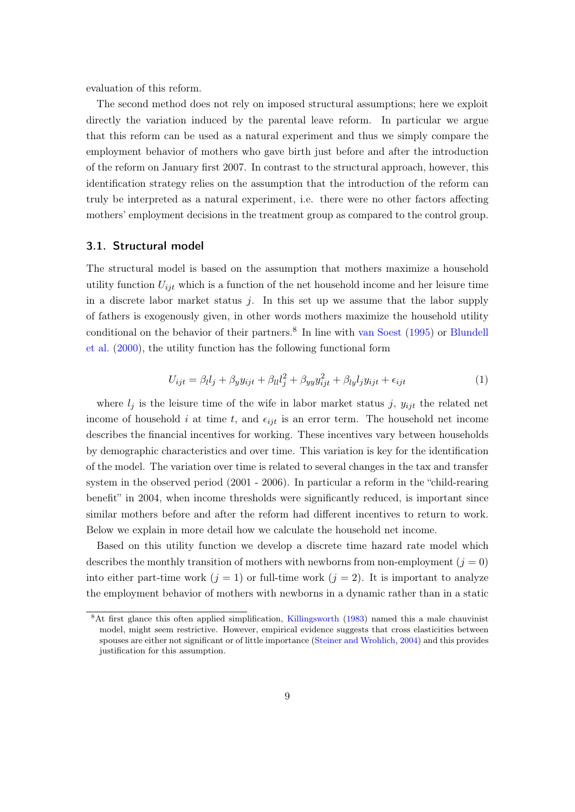evaluation of this reform.

The second method does not rely on imposed structural assumptions; here we exploit directly the variation induced by the parental leave reform. In particular we argue that this reform can be used as a natural experiment and thus we simply compare the employment behavior of mothers who gave birth just before and after the introduction of the reform on January first 2007. In contrast to the structural approach, however, this identification strategy relies on the assumption that the introduction of the reform can truly be interpreted as a natural experiment, i.e. there were no other factors affecting mothers' employment decisions in the treatment group as compared to the control group.

#### 3.1. Structural model

The structural model is based on the assumption that mothers maximize a household utility function  $U_{ijt}$  which is a function of the net household income and her leisure time in a discrete labor market status  $i$ . In this set up we assume that the labor supply of fathers is exogenously given, in other words mothers maximize the household utility conditional on the behavior of their partners.<sup>8</sup> In line with [van Soest](#page-27-5) [\(1995\)](#page-27-5) or [Blundell](#page-26-9) [et al.](#page-26-9) [\(2000\)](#page-26-9), the utility function has the following functional form

$$
U_{ijt} = \beta_l l_j + \beta_y y_{ijt} + \beta_{ll} l_j^2 + \beta_{yy} y_{ijt}^2 + \beta_{ly} l_j y_{ijt} + \epsilon_{ijt}
$$
\n(1)

where  $l_i$  is the leisure time of the wife in labor market status j,  $y_{ijt}$  the related net income of household i at time t, and  $\epsilon_{ijt}$  is an error term. The household net income describes the financial incentives for working. These incentives vary between households by demographic characteristics and over time. This variation is key for the identification of the model. The variation over time is related to several changes in the tax and transfer system in the observed period (2001 - 2006). In particular a reform in the "child-rearing benefit" in 2004, when income thresholds were significantly reduced, is important since similar mothers before and after the reform had different incentives to return to work. Below we explain in more detail how we calculate the household net income.

Based on this utility function we develop a discrete time hazard rate model which describes the monthly transition of mothers with newborns from non-employment  $(j = 0)$ into either part-time work  $(j = 1)$  or full-time work  $(j = 2)$ . It is important to analyze the employment behavior of mothers with newborns in a dynamic rather than in a static

<sup>&</sup>lt;sup>8</sup>At first glance this often applied simplification, [Killingsworth](#page-27-6) [\(1983\)](#page-27-6) named this a male chauvinist model, might seem restrictive. However, empirical evidence suggests that cross elasticities between spouses are either not significant or of little importance [\(Steiner and Wrohlich,](#page-27-7) [2004\)](#page-27-7) and this provides justification for this assumption.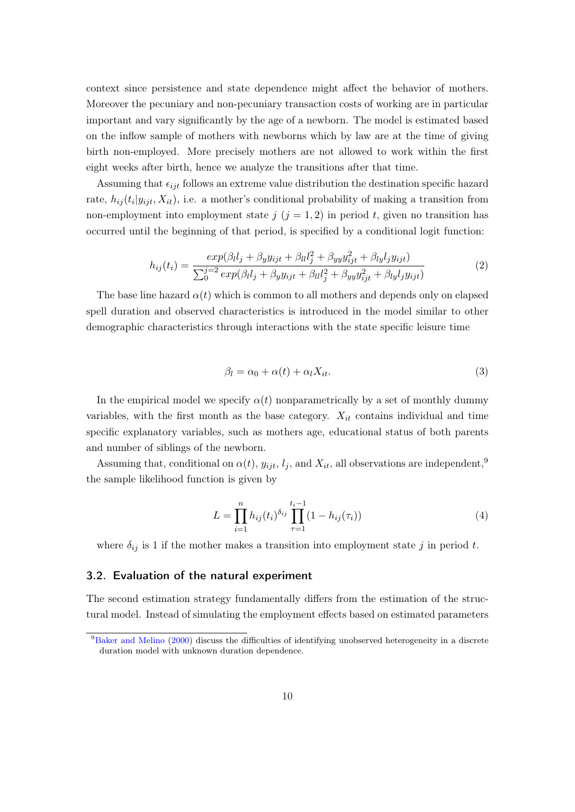context since persistence and state dependence might affect the behavior of mothers. Moreover the pecuniary and non-pecuniary transaction costs of working are in particular important and vary significantly by the age of a newborn. The model is estimated based on the inflow sample of mothers with newborns which by law are at the time of giving birth non-employed. More precisely mothers are not allowed to work within the first eight weeks after birth, hence we analyze the transitions after that time.

Assuming that  $\epsilon_{ijt}$  follows an extreme value distribution the destination specific hazard rate,  $h_{ij}(t_i|y_{ijt}, X_{it})$ , i.e. a mother's conditional probability of making a transition from non-employment into employment state  $j$   $(j = 1, 2)$  in period t, given no transition has occurred until the beginning of that period, is specified by a conditional logit function:

$$
h_{ij}(t_i) = \frac{exp(\beta_l l_j + \beta_y y_{ijt} + \beta_{ll} l_j^2 + \beta_{yy} y_{ijt}^2 + \beta_{ly} l_j y_{ijt})}{\sum_{0}^{j=2} exp(\beta_l l_j + \beta_y y_{ijt} + \beta_{ll} l_j^2 + \beta_{yy} y_{ijt}^2 + \beta_{ly} l_j y_{ijt})}
$$
(2)

The base line hazard  $\alpha(t)$  which is common to all mothers and depends only on elapsed spell duration and observed characteristics is introduced in the model similar to other demographic characteristics through interactions with the state specific leisure time

$$
\beta_l = \alpha_0 + \alpha(t) + \alpha_l X_{it}.\tag{3}
$$

In the empirical model we specify  $\alpha(t)$  nonparametrically by a set of monthly dummy variables, with the first month as the base category.  $X_{it}$  contains individual and time specific explanatory variables, such as mothers age, educational status of both parents and number of siblings of the newborn.

Assuming that, conditional on  $\alpha(t)$ ,  $y_{ijt}$ ,  $l_j$ , and  $X_{it}$ , all observations are independent,<sup>9</sup> the sample likelihood function is given by

$$
L = \prod_{i=1}^{n} h_{ij}(t_i)^{\delta_{ij}} \prod_{\tau=1}^{t_i-1} (1 - h_{ij}(\tau_i))
$$
\n(4)

where  $\delta_{ij}$  is 1 if the mother makes a transition into employment state j in period t.

#### 3.2. Evaluation of the natural experiment

The second estimation strategy fundamentally differs from the estimation of the structural model. Instead of simulating the employment effects based on estimated parameters

<sup>9</sup>[Baker and Melino](#page-26-10) [\(2000\)](#page-26-10) discuss the difficulties of identifying unobserved heterogeneity in a discrete duration model with unknown duration dependence.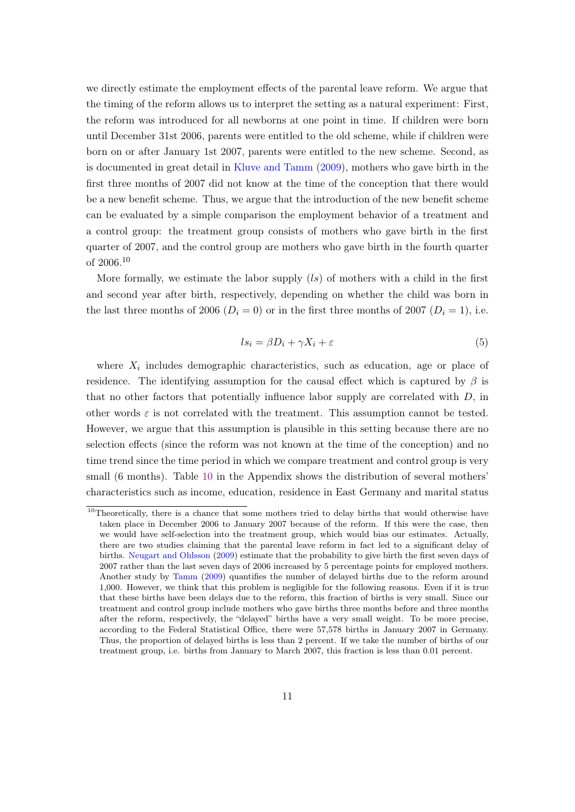we directly estimate the employment effects of the parental leave reform. We argue that the timing of the reform allows us to interpret the setting as a natural experiment: First, the reform was introduced for all newborns at one point in time. If children were born until December 31st 2006, parents were entitled to the old scheme, while if children were born on or after January 1st 2007, parents were entitled to the new scheme. Second, as is documented in great detail in [Kluve and Tamm](#page-27-1) [\(2009\)](#page-27-1), mothers who gave birth in the first three months of 2007 did not know at the time of the conception that there would be a new benefit scheme. Thus, we argue that the introduction of the new benefit scheme can be evaluated by a simple comparison the employment behavior of a treatment and a control group: the treatment group consists of mothers who gave birth in the first quarter of 2007, and the control group are mothers who gave birth in the fourth quarter of 2006.<sup>10</sup>

More formally, we estimate the labor supply  $(ls)$  of mothers with a child in the first and second year after birth, respectively, depending on whether the child was born in the last three months of 2006 ( $D_i = 0$ ) or in the first three months of 2007 ( $D_i = 1$ ), i.e.

$$
ls_i = \beta D_i + \gamma X_i + \varepsilon \tag{5}
$$

where  $X_i$  includes demographic characteristics, such as education, age or place of residence. The identifying assumption for the causal effect which is captured by  $\beta$  is that no other factors that potentially influence labor supply are correlated with  $D$ , in other words  $\varepsilon$  is not correlated with the treatment. This assumption cannot be tested. However, we argue that this assumption is plausible in this setting because there are no selection effects (since the reform was not known at the time of the conception) and no time trend since the time period in which we compare treatment and control group is very small (6 months). Table [10](#page-32-0) in the Appendix shows the distribution of several mothers' characteristics such as income, education, residence in East Germany and marital status

 $10$ Theoretically, there is a chance that some mothers tried to delay births that would otherwise have taken place in December 2006 to January 2007 because of the reform. If this were the case, then we would have self-selection into the treatment group, which would bias our estimates. Actually, there are two studies claiming that the parental leave reform in fact led to a significant delay of births. [Neugart and Ohlsson](#page-27-8) [\(2009\)](#page-27-8) estimate that the probability to give birth the first seven days of 2007 rather than the last seven days of 2006 increased by 5 percentage points for employed mothers. Another study by [Tamm](#page-27-9) [\(2009\)](#page-27-9) quantifies the number of delayed births due to the reform around 1,000. However, we think that this problem is negligible for the following reasons. Even if it is true that these births have been delays due to the reform, this fraction of births is very small. Since our treatment and control group include mothers who gave births three months before and three months after the reform, respectively, the "delayed" births have a very small weight. To be more precise, according to the Federal Statistical Office, there were 57,578 births in January 2007 in Germany. Thus, the proportion of delayed births is less than 2 percent. If we take the number of births of our treatment group, i.e. births from January to March 2007, this fraction is less than 0.01 percent.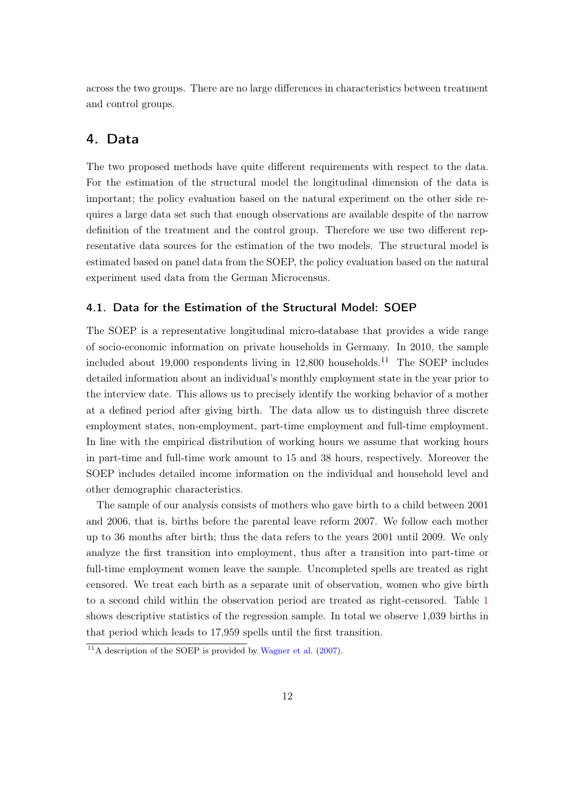across the two groups. There are no large differences in characteristics between treatment and control groups.

## 4. Data

The two proposed methods have quite different requirements with respect to the data. For the estimation of the structural model the longitudinal dimension of the data is important; the policy evaluation based on the natural experiment on the other side requires a large data set such that enough observations are available despite of the narrow definition of the treatment and the control group. Therefore we use two different representative data sources for the estimation of the two models. The structural model is estimated based on panel data from the SOEP, the policy evaluation based on the natural experiment used data from the German Microcensus.

#### 4.1. Data for the Estimation of the Structural Model: SOEP

The SOEP is a representative longitudinal micro-database that provides a wide range of socio-economic information on private households in Germany. In 2010, the sample included about  $19,000$  respondents living in  $12,800$  households.<sup>11</sup> The SOEP includes detailed information about an individual's monthly employment state in the year prior to the interview date. This allows us to precisely identify the working behavior of a mother at a defined period after giving birth. The data allow us to distinguish three discrete employment states, non-employment, part-time employment and full-time employment. In line with the empirical distribution of working hours we assume that working hours in part-time and full-time work amount to 15 and 38 hours, respectively. Moreover the SOEP includes detailed income information on the individual and household level and other demographic characteristics.

The sample of our analysis consists of mothers who gave birth to a child between 2001 and 2006, that is, births before the parental leave reform 2007. We follow each mother up to 36 months after birth; thus the data refers to the years 2001 until 2009. We only analyze the first transition into employment, thus after a transition into part-time or full-time employment women leave the sample. Uncompleted spells are treated as right censored. We treat each birth as a separate unit of observation, women who give birth to a second child within the observation period are treated as right-censored. Table [1](#page-13-0) shows descriptive statistics of the regression sample. In total we observe 1,039 births in that period which leads to 17,959 spells until the first transition.

 $11$ <sup>1</sup>A description of the SOEP is provided by [Wagner et al.](#page-28-1) [\(2007\)](#page-28-1).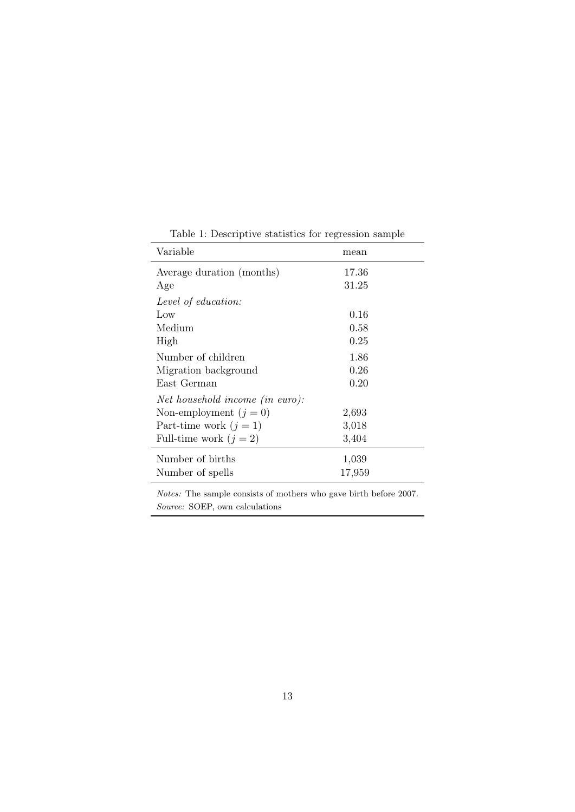<span id="page-13-0"></span>

| Variable                        | mean   |
|---------------------------------|--------|
| Average duration (months)       | 17.36  |
| Age                             | 31.25  |
| Level of education:             |        |
| Low                             | 0.16   |
| Medium                          | 0.58   |
| High                            | 0.25   |
| Number of children              | 1.86   |
| Migration background            | 0.26   |
| East German                     | 0.20   |
| Net household income (in euro): |        |
| Non-employment $(j = 0)$        | 2,693  |
| Part-time work $(j = 1)$        | 3,018  |
| Full-time work $(j = 2)$        | 3,404  |
| Number of births                | 1,039  |
| Number of spells                | 17,959 |

Table 1: Descriptive statistics for regression sample

Notes: The sample consists of mothers who gave birth before 2007. Source: SOEP, own calculations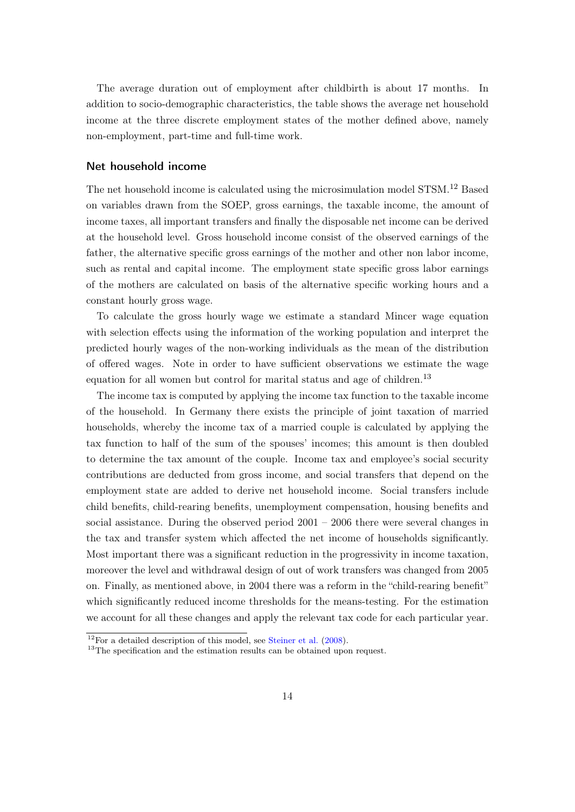The average duration out of employment after childbirth is about 17 months. In addition to socio-demographic characteristics, the table shows the average net household income at the three discrete employment states of the mother defined above, namely non-employment, part-time and full-time work.

#### Net household income

The net household income is calculated using the microsimulation model STSM.<sup>12</sup> Based on variables drawn from the SOEP, gross earnings, the taxable income, the amount of income taxes, all important transfers and finally the disposable net income can be derived at the household level. Gross household income consist of the observed earnings of the father, the alternative specific gross earnings of the mother and other non labor income, such as rental and capital income. The employment state specific gross labor earnings of the mothers are calculated on basis of the alternative specific working hours and a constant hourly gross wage.

To calculate the gross hourly wage we estimate a standard Mincer wage equation with selection effects using the information of the working population and interpret the predicted hourly wages of the non-working individuals as the mean of the distribution of offered wages. Note in order to have sufficient observations we estimate the wage equation for all women but control for marital status and age of children.<sup>13</sup>

The income tax is computed by applying the income tax function to the taxable income of the household. In Germany there exists the principle of joint taxation of married households, whereby the income tax of a married couple is calculated by applying the tax function to half of the sum of the spouses' incomes; this amount is then doubled to determine the tax amount of the couple. Income tax and employee's social security contributions are deducted from gross income, and social transfers that depend on the employment state are added to derive net household income. Social transfers include child benefits, child-rearing benefits, unemployment compensation, housing benefits and social assistance. During the observed period  $2001 - 2006$  there were several changes in the tax and transfer system which affected the net income of households significantly. Most important there was a significant reduction in the progressivity in income taxation, moreover the level and withdrawal design of out of work transfers was changed from 2005 on. Finally, as mentioned above, in 2004 there was a reform in the "child-rearing benefit" which significantly reduced income thresholds for the means-testing. For the estimation we account for all these changes and apply the relevant tax code for each particular year.

 $12$ For a detailed description of this model, see [Steiner et al.](#page-27-10) [\(2008\)](#page-27-10).

<sup>&</sup>lt;sup>13</sup>The specification and the estimation results can be obtained upon request.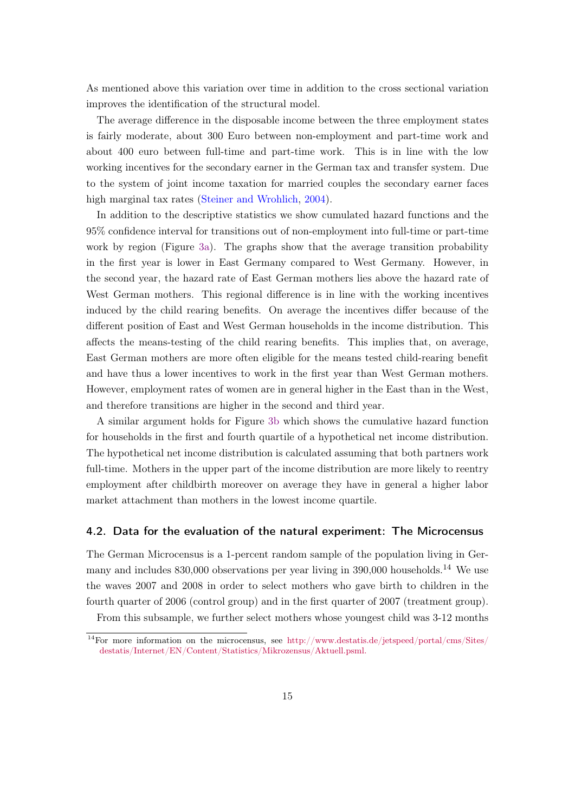As mentioned above this variation over time in addition to the cross sectional variation improves the identification of the structural model.

The average difference in the disposable income between the three employment states is fairly moderate, about 300 Euro between non-employment and part-time work and about 400 euro between full-time and part-time work. This is in line with the low working incentives for the secondary earner in the German tax and transfer system. Due to the system of joint income taxation for married couples the secondary earner faces high marginal tax rates [\(Steiner and Wrohlich,](#page-27-7) [2004\)](#page-27-7).

In addition to the descriptive statistics we show cumulated hazard functions and the 95% confidence interval for transitions out of non-employment into full-time or part-time work by region (Figure [3a\)](#page-16-0). The graphs show that the average transition probability in the first year is lower in East Germany compared to West Germany. However, in the second year, the hazard rate of East German mothers lies above the hazard rate of West German mothers. This regional difference is in line with the working incentives induced by the child rearing benefits. On average the incentives differ because of the different position of East and West German households in the income distribution. This affects the means-testing of the child rearing benefits. This implies that, on average, East German mothers are more often eligible for the means tested child-rearing benefit and have thus a lower incentives to work in the first year than West German mothers. However, employment rates of women are in general higher in the East than in the West, and therefore transitions are higher in the second and third year.

A similar argument holds for Figure [3b](#page-16-1) which shows the cumulative hazard function for households in the first and fourth quartile of a hypothetical net income distribution. The hypothetical net income distribution is calculated assuming that both partners work full-time. Mothers in the upper part of the income distribution are more likely to reentry employment after childbirth moreover on average they have in general a higher labor market attachment than mothers in the lowest income quartile.

#### 4.2. Data for the evaluation of the natural experiment: The Microcensus

The German Microcensus is a 1-percent random sample of the population living in Germany and includes 830,000 observations per year living in 390,000 households.<sup>14</sup> We use the waves 2007 and 2008 in order to select mothers who gave birth to children in the fourth quarter of 2006 (control group) and in the first quarter of 2007 (treatment group).

From this subsample, we further select mothers whose youngest child was 3-12 months

<sup>&</sup>lt;sup>14</sup>For more information on the microcensus, see [http://www.destatis.de/jetspeed/portal/cms/Sites/](http://www.destatis.de/jetspeed/portal/cms/Sites/destatis/Internet/EN/Content/Statistics/Mikrozensus/Aktuell.psml) [destatis/Internet/EN/Content/Statistics/Mikrozensus/Aktuell.psml.](http://www.destatis.de/jetspeed/portal/cms/Sites/destatis/Internet/EN/Content/Statistics/Mikrozensus/Aktuell.psml)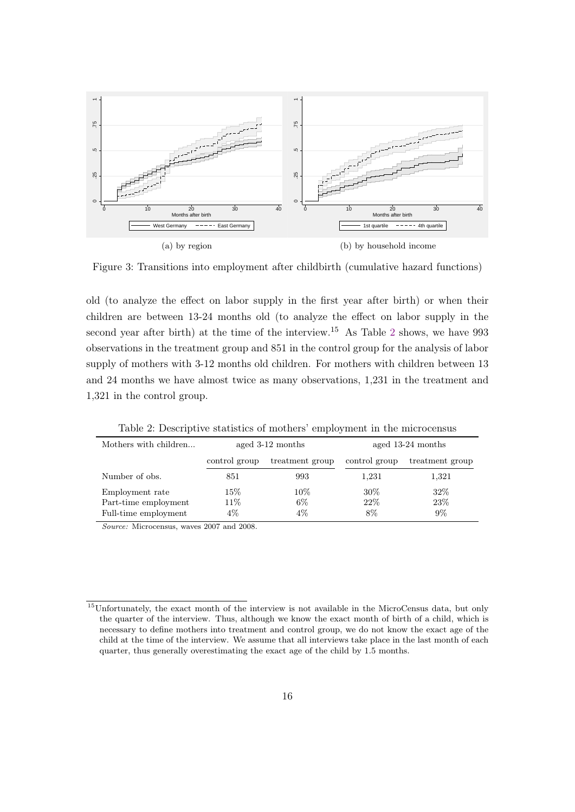

<span id="page-16-1"></span><span id="page-16-0"></span>Figure 3: Transitions into employment after childbirth (cumulative hazard functions)

old (to analyze the effect on labor supply in the first year after birth) or when their children are between 13-24 months old (to analyze the effect on labor supply in the second year after birth) at the time of the interview.<sup>15</sup> As Table [2](#page-16-2) shows, we have 993 observations in the treatment group and 851 in the control group for the analysis of labor supply of mothers with 3-12 months old children. For mothers with children between 13 and 24 months we have almost twice as many observations, 1,231 in the treatment and 1,321 in the control group.

<span id="page-16-2"></span>

| Mothers with children                                           |                         | aged 3-12 months         | aged 13-24 months   |                      |  |
|-----------------------------------------------------------------|-------------------------|--------------------------|---------------------|----------------------|--|
|                                                                 | control group           | treatment group          | control group       | treatment group      |  |
| Number of obs.                                                  | 851                     | 993                      | 1,231               | 1,321                |  |
| Employment rate<br>Part-time employment<br>Full-time employment | $15\%$<br>11\%<br>$4\%$ | $10\%$<br>$6\%$<br>$4\%$ | $30\%$<br>22%<br>8% | 32\%<br>23%<br>$9\%$ |  |

Table 2: Descriptive statistics of mothers' employment in the microcensus

Source: Microcensus, waves 2007 and 2008.

<sup>&</sup>lt;sup>15</sup>Unfortunately, the exact month of the interview is not available in the MicroCensus data, but only the quarter of the interview. Thus, although we know the exact month of birth of a child, which is necessary to define mothers into treatment and control group, we do not know the exact age of the child at the time of the interview. We assume that all interviews take place in the last month of each quarter, thus generally overestimating the exact age of the child by 1.5 months.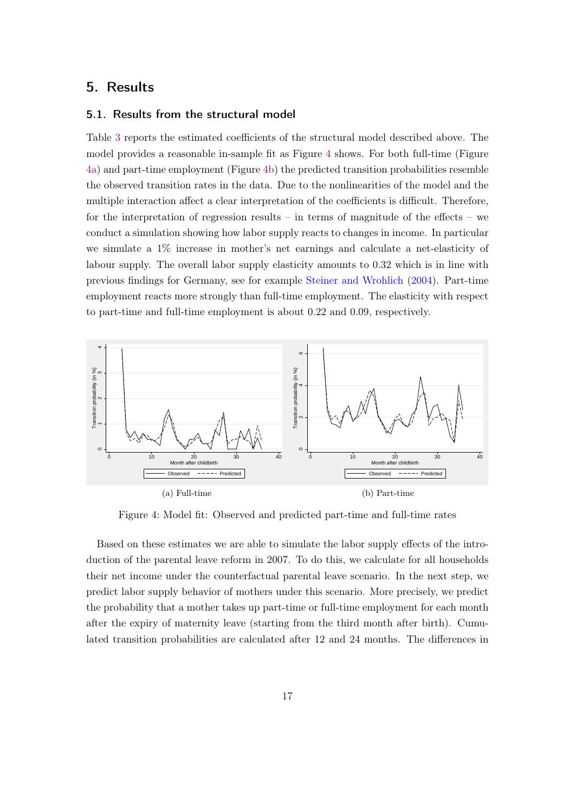## 5. Results

#### 5.1. Results from the structural model

Table [3](#page-18-0) reports the estimated coefficients of the structural model described above. The model provides a reasonable in-sample fit as Figure [4](#page-17-0) shows. For both full-time (Figure [4a\)](#page-17-1) and part-time employment (Figure [4b\)](#page-17-2) the predicted transition probabilities resemble the observed transition rates in the data. Due to the nonlinearities of the model and the multiple interaction affect a clear interpretation of the coefficients is difficult. Therefore, for the interpretation of regression results – in terms of magnitude of the effects – we conduct a simulation showing how labor supply reacts to changes in income. In particular we simulate a 1% increase in mother's net earnings and calculate a net-elasticity of labour supply. The overall labor supply elasticity amounts to 0.32 which is in line with previous findings for Germany, see for example [Steiner and Wrohlich](#page-27-7) [\(2004\)](#page-27-7). Part-time employment reacts more strongly than full-time employment. The elasticity with respect to part-time and full-time employment is about 0.22 and 0.09, respectively.

<span id="page-17-0"></span>

<span id="page-17-2"></span><span id="page-17-1"></span>Figure 4: Model fit: Observed and predicted part-time and full-time rates

Based on these estimates we are able to simulate the labor supply effects of the introduction of the parental leave reform in 2007. To do this, we calculate for all households their net income under the counterfactual parental leave scenario. In the next step, we predict labor supply behavior of mothers under this scenario. More precisely, we predict the probability that a mother takes up part-time or full-time employment for each month after the expiry of maternity leave (starting from the third month after birth). Cumulated transition probabilities are calculated after 12 and 24 months. The differences in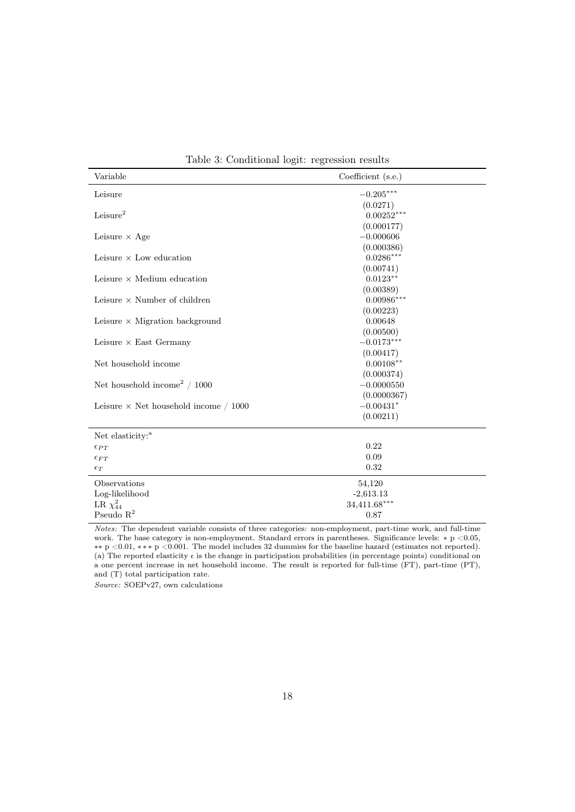<span id="page-18-0"></span>

| Variable                                     | Coefficient (s.e.) |  |  |
|----------------------------------------------|--------------------|--|--|
| Leisure                                      | $-0.205***$        |  |  |
|                                              | (0.0271)           |  |  |
| Leisure <sup>2</sup>                         | $0.00252***$       |  |  |
|                                              | (0.000177)         |  |  |
| Leisure $\times$ Age                         | $-0.000606$        |  |  |
|                                              | (0.000386)         |  |  |
| Leisure $\times$ Low education               | $0.0286***$        |  |  |
|                                              | (0.00741)          |  |  |
| Leisure $\times$ Medium education            | $0.0123**$         |  |  |
|                                              | (0.00389)          |  |  |
| Leisure $\times$ Number of children          | $0.00986***$       |  |  |
|                                              | (0.00223)          |  |  |
| Leisure $\times$ Migration background        | 0.00648            |  |  |
|                                              | (0.00500)          |  |  |
| Leisure $\times$ East Germany                | $-0.0173***$       |  |  |
|                                              | (0.00417)          |  |  |
| Net household income                         | $0.00108**$        |  |  |
|                                              | (0.000374)         |  |  |
| Net household income <sup>2</sup> / 1000     | $-0.0000550$       |  |  |
|                                              | (0.0000367)        |  |  |
| Leisure $\times$ Net household income / 1000 | $-0.00431*$        |  |  |
|                                              | (0.00211)          |  |  |
| Net elasticity: <sup>a</sup>                 |                    |  |  |
| $\epsilon_{PT}$                              | 0.22               |  |  |
| $\epsilon_{FT}$                              | 0.09               |  |  |
| $\epsilon_T$                                 | 0.32               |  |  |
| Observations                                 | 54,120             |  |  |
| Log-likelihood                               | $-2,613.13$        |  |  |
| LR $\chi^2_{44}$                             | 34,411.68***       |  |  |
| Pseudo $R^2$                                 | 0.87               |  |  |

Table 3: Conditional logit: regression results

Notes: The dependent variable consists of three categories: non-employment, part-time work, and full-time work. The base category is non-employment. Standard errors in parentheses. Significance levels: ∗ p <0.05, ∗∗ p <0.01, ∗ ∗ ∗ p <0.001. The model includes 32 dummies for the baseline hazard (estimates not reported). (a) The reported elasticity  $\epsilon$  is the change in participation probabilities (in percentage points) conditional on a one percent increase in net household income. The result is reported for full-time (FT), part-time (PT), and (T) total participation rate.

Source: SOEPv27, own calculations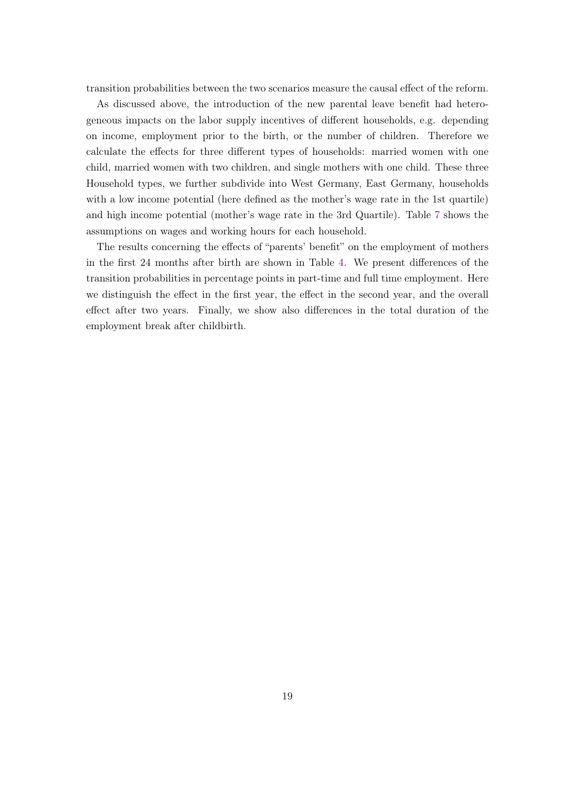transition probabilities between the two scenarios measure the causal effect of the reform.

As discussed above, the introduction of the new parental leave benefit had heterogeneous impacts on the labor supply incentives of different households, e.g. depending on income, employment prior to the birth, or the number of children. Therefore we calculate the effects for three different types of households: married women with one child, married women with two children, and single mothers with one child. These three Household types, we further subdivide into West Germany, East Germany, households with a low income potential (here defined as the mother's wage rate in the 1st quartile) and high income potential (mother's wage rate in the 3rd Quartile). Table [7](#page-29-0) shows the assumptions on wages and working hours for each household.

The results concerning the effects of "parents' benefit" on the employment of mothers in the first 24 months after birth are shown in Table [4.](#page-20-0) We present differences of the transition probabilities in percentage points in part-time and full time employment. Here we distinguish the effect in the first year, the effect in the second year, and the overall effect after two years. Finally, we show also differences in the total duration of the employment break after childbirth.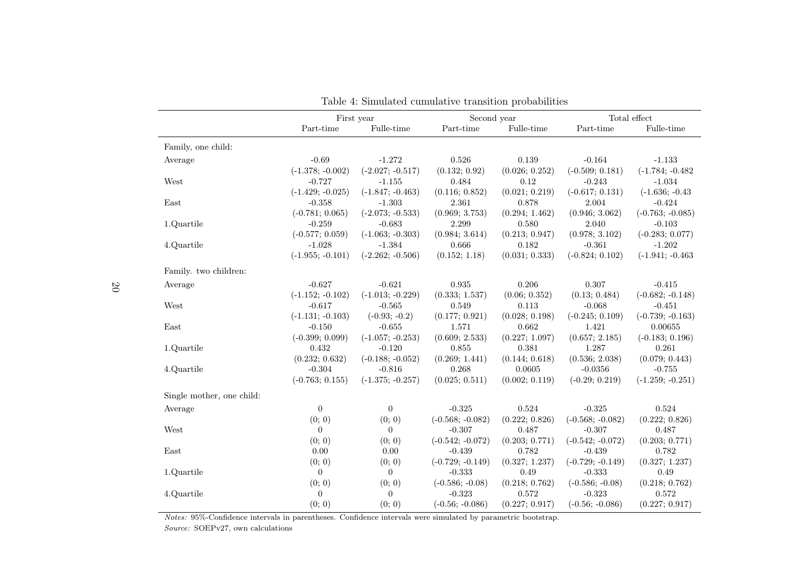|                           |                    | First year         | Second year        |                |                    | Total effect       |  |
|---------------------------|--------------------|--------------------|--------------------|----------------|--------------------|--------------------|--|
|                           | Part-time          | Fulle-time         | Part-time          | Fulle-time     | Part-time          | Fulle-time         |  |
| Family, one child:        |                    |                    |                    |                |                    |                    |  |
| Average                   | $-0.69$            | $-1.272$           | 0.526              | 0.139          | $-0.164$           | $-1.133$           |  |
|                           | $(-1.378; -0.002)$ | $(-2.027; -0.517)$ | (0.132; 0.92)      | (0.026; 0.252) | $(-0.509; 0.181)$  | $(-1.784; -0.482)$ |  |
| West                      | $-0.727$           | $-1.155$           | 0.484              | 0.12           | $-0.243$           | $-1.034$           |  |
|                           | $(-1.429; -0.025)$ | $(-1.847; -0.463)$ | (0.116; 0.852)     | (0.021; 0.219) | $(-0.617; 0.131)$  | $(-1.636; -0.43)$  |  |
| East                      | $-0.358$           | $-1.303$           | 2.361              | 0.878          | 2.004              | $-0.424$           |  |
|                           | $(-0.781; 0.065)$  | $(-2.073; -0.533)$ | (0.969; 3.753)     | (0.294; 1.462) | (0.946; 3.062)     | $(-0.763; -0.085)$ |  |
| 1.Quartile                | $-0.259$           | $-0.683$           | 2.299              | 0.580          | 2.040              | $-0.103$           |  |
|                           | $(-0.577; 0.059)$  | $(-1.063; -0.303)$ | (0.984; 3.614)     | (0.213; 0.947) | (0.978; 3.102)     | $(-0.283; 0.077)$  |  |
| 4.Quartile                | $-1.028$           | $-1.384$           | 0.666              | 0.182          | $-0.361$           | $-1.202$           |  |
|                           | $(-1.955; -0.101)$ | $(-2.262; -0.506)$ | (0.152; 1.18)      | (0.031; 0.333) | $(-0.824; 0.102)$  | $(-1.941; -0.463)$ |  |
| Family. two children:     |                    |                    |                    |                |                    |                    |  |
| Average                   | $-0.627$           | $-0.621$           | 0.935              | 0.206          | 0.307              | $-0.415$           |  |
|                           | $(-1.152; -0.102)$ | $(-1.013; -0.229)$ | (0.333; 1.537)     | (0.06; 0.352)  | (0.13; 0.484)      | $(-0.682; -0.148)$ |  |
| West                      | $-0.617$           | $-0.565$           | 0.549              | 0.113          | $-0.068$           | $-0.451$           |  |
|                           | $(-1.131; -0.103)$ | $(-0.93; -0.2)$    | (0.177; 0.921)     | (0.028; 0.198) | $(-0.245; 0.109)$  | $(-0.739; -0.163)$ |  |
| East                      | $-0.150$           | $-0.655$           | 1.571              | 0.662          | 1.421              | 0.00655            |  |
|                           | $(-0.399; 0.099)$  | $(-1.057; -0.253)$ | (0.609; 2.533)     | (0.227; 1.097) | (0.657; 2.185)     | $(-0.183; 0.196)$  |  |
| 1.Quartile                | 0.432              | $-0.120$           | 0.855              | 0.381          | 1.287              | 0.261              |  |
|                           | (0.232; 0.632)     | $(-0.188; -0.052)$ | (0.269; 1.441)     | (0.144; 0.618) | (0.536; 2.038)     | (0.079; 0.443)     |  |
| 4.Quartile                | $-0.304$           | $-0.816$           | 0.268              | 0.0605         | $-0.0356$          | $-0.755$           |  |
|                           | $(-0.763; 0.155)$  | $(-1.375; -0.257)$ | (0.025; 0.511)     | (0.002; 0.119) | $(-0.29; 0.219)$   | $(-1.259; -0.251)$ |  |
| Single mother, one child: |                    |                    |                    |                |                    |                    |  |
| Average                   | $\boldsymbol{0}$   | $\overline{0}$     | $-0.325$           | 0.524          | $-0.325$           | 0.524              |  |
|                           | (0; 0)             | (0; 0)             | $(-0.568; -0.082)$ | (0.222; 0.826) | $(-0.568; -0.082)$ | (0.222; 0.826)     |  |
| West                      | $\theta$           | $\Omega$           | $-0.307$           | 0.487          | $-0.307$           | 0.487              |  |
|                           | (0; 0)             | (0; 0)             | $(-0.542; -0.072)$ | (0.203; 0.771) | $(-0.542; -0.072)$ | (0.203; 0.771)     |  |
| East                      | 0.00               | 0.00               | $-0.439$           | 0.782          | $-0.439$           | 0.782              |  |
|                           | (0; 0)             | (0; 0)             | $(-0.729; -0.149)$ | (0.327; 1.237) | $(-0.729; -0.149)$ | (0.327; 1.237)     |  |
| 1.Quartile                | $\theta$           | $\overline{0}$     | $-0.333$           | 0.49           | $-0.333$           | 0.49               |  |
|                           | (0; 0)             | (0; 0)             | $(-0.586; -0.08)$  | (0.218; 0.762) | $(-0.586; -0.08)$  | (0.218; 0.762)     |  |
| 4.Quartile                | $\boldsymbol{0}$   | $\overline{0}$     | $-0.323$           | 0.572          | $-0.323$           | 0.572              |  |
|                           | (0; 0)             | (0; 0)             | $(-0.56; -0.086)$  | (0.227; 0.917) | $(-0.56; -0.086)$  | (0.227; 0.917)     |  |

| Table 4: Simulated cumulative transition probabilities |  |  |
|--------------------------------------------------------|--|--|
|--------------------------------------------------------|--|--|

<span id="page-20-0"></span>Notes: 95%-Confidence intervals in parentheses. Confidence intervals were simulated by parametric bootstrap. Source: SOEPv27, own calculations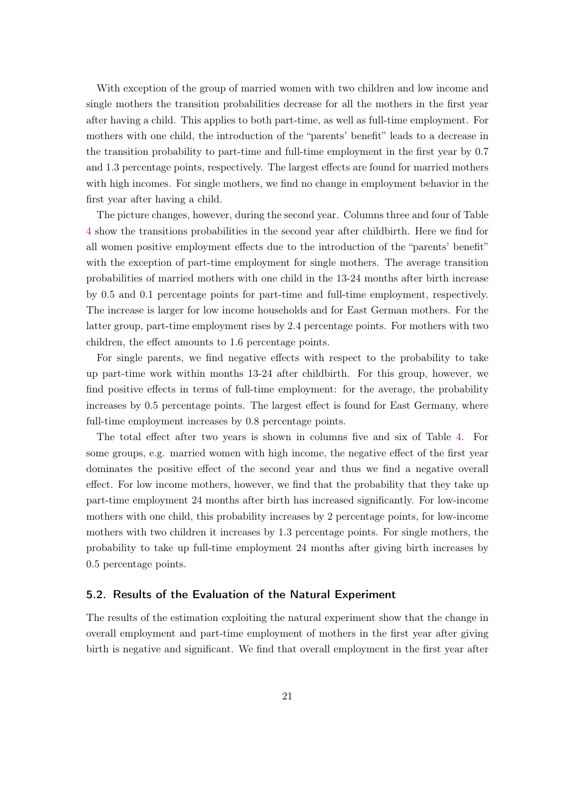With exception of the group of married women with two children and low income and single mothers the transition probabilities decrease for all the mothers in the first year after having a child. This applies to both part-time, as well as full-time employment. For mothers with one child, the introduction of the "parents' benefit" leads to a decrease in the transition probability to part-time and full-time employment in the first year by 0.7 and 1.3 percentage points, respectively. The largest effects are found for married mothers with high incomes. For single mothers, we find no change in employment behavior in the first year after having a child.

The picture changes, however, during the second year. Columns three and four of Table [4](#page-20-0) show the transitions probabilities in the second year after childbirth. Here we find for all women positive employment effects due to the introduction of the "parents' benefit" with the exception of part-time employment for single mothers. The average transition probabilities of married mothers with one child in the 13-24 months after birth increase by 0.5 and 0.1 percentage points for part-time and full-time employment, respectively. The increase is larger for low income households and for East German mothers. For the latter group, part-time employment rises by 2.4 percentage points. For mothers with two children, the effect amounts to 1.6 percentage points.

For single parents, we find negative effects with respect to the probability to take up part-time work within months 13-24 after childbirth. For this group, however, we find positive effects in terms of full-time employment: for the average, the probability increases by 0.5 percentage points. The largest effect is found for East Germany, where full-time employment increases by 0.8 percentage points.

The total effect after two years is shown in columns five and six of Table [4.](#page-20-0) For some groups, e.g. married women with high income, the negative effect of the first year dominates the positive effect of the second year and thus we find a negative overall effect. For low income mothers, however, we find that the probability that they take up part-time employment 24 months after birth has increased significantly. For low-income mothers with one child, this probability increases by 2 percentage points, for low-income mothers with two children it increases by 1.3 percentage points. For single mothers, the probability to take up full-time employment 24 months after giving birth increases by 0.5 percentage points.

#### 5.2. Results of the Evaluation of the Natural Experiment

The results of the estimation exploiting the natural experiment show that the change in overall employment and part-time employment of mothers in the first year after giving birth is negative and significant. We find that overall employment in the first year after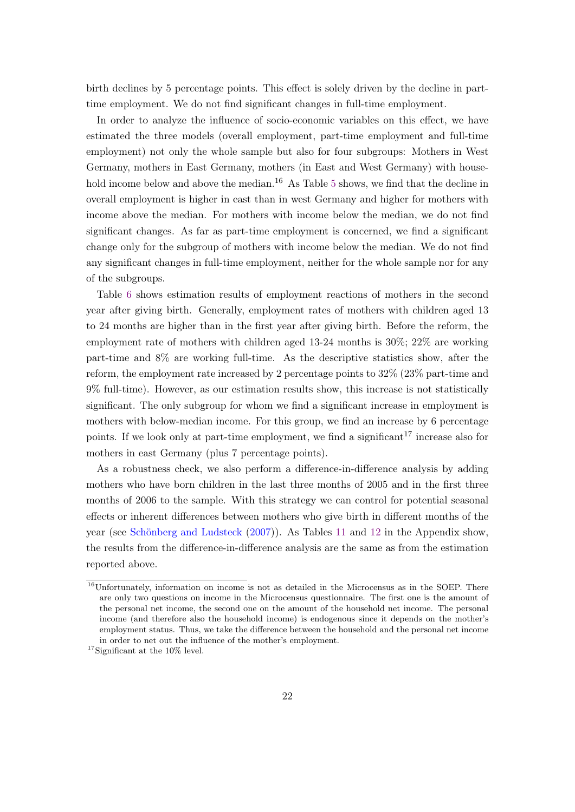birth declines by 5 percentage points. This effect is solely driven by the decline in parttime employment. We do not find significant changes in full-time employment.

In order to analyze the influence of socio-economic variables on this effect, we have estimated the three models (overall employment, part-time employment and full-time employment) not only the whole sample but also for four subgroups: Mothers in West Germany, mothers in East Germany, mothers (in East and West Germany) with house-hold income below and above the median.<sup>16</sup> As Table [5](#page-23-0) shows, we find that the decline in overall employment is higher in east than in west Germany and higher for mothers with income above the median. For mothers with income below the median, we do not find significant changes. As far as part-time employment is concerned, we find a significant change only for the subgroup of mothers with income below the median. We do not find any significant changes in full-time employment, neither for the whole sample nor for any of the subgroups.

Table [6](#page-23-1) shows estimation results of employment reactions of mothers in the second year after giving birth. Generally, employment rates of mothers with children aged 13 to 24 months are higher than in the first year after giving birth. Before the reform, the employment rate of mothers with children aged 13-24 months is 30%; 22% are working part-time and 8% are working full-time. As the descriptive statistics show, after the reform, the employment rate increased by 2 percentage points to 32% (23% part-time and 9% full-time). However, as our estimation results show, this increase is not statistically significant. The only subgroup for whom we find a significant increase in employment is mothers with below-median income. For this group, we find an increase by 6 percentage points. If we look only at part-time employment, we find a significant  $17$  increase also for mothers in east Germany (plus 7 percentage points).

As a robustness check, we also perform a difference-in-difference analysis by adding mothers who have born children in the last three months of 2005 and in the first three months of 2006 to the sample. With this strategy we can control for potential seasonal effects or inherent differences between mothers who give birth in different months of the year (see [Schönberg and Ludsteck](#page-27-2) [\(2007\)](#page-27-2)). As Tables [11](#page-32-1) and [12](#page-32-2) in the Appendix show, the results from the difference-in-difference analysis are the same as from the estimation reported above.

<sup>&</sup>lt;sup>16</sup>Unfortunately, information on income is not as detailed in the Microcensus as in the SOEP. There are only two questions on income in the Microcensus questionnaire. The first one is the amount of the personal net income, the second one on the amount of the household net income. The personal income (and therefore also the household income) is endogenous since it depends on the mother's employment status. Thus, we take the difference between the household and the personal net income in order to net out the influence of the mother's employment.

<sup>17</sup>Significant at the 10% level.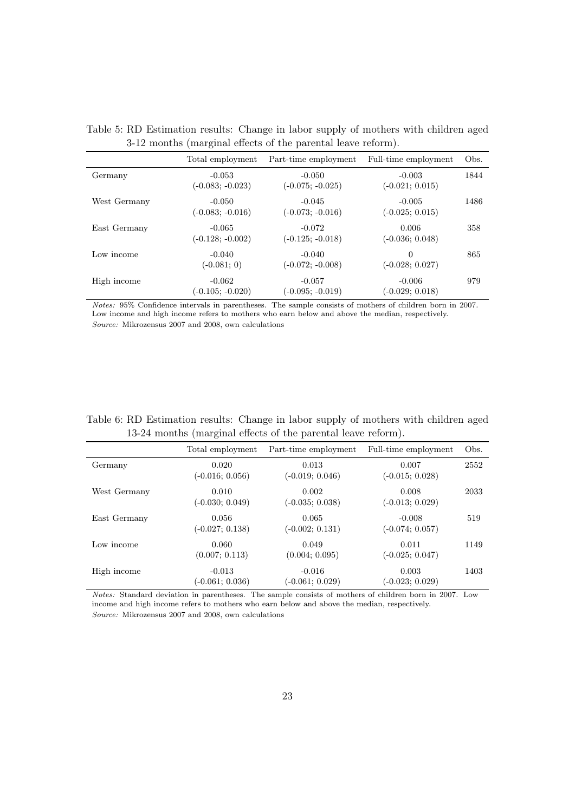|              | $\cdot$                        |                                |                               |      |
|--------------|--------------------------------|--------------------------------|-------------------------------|------|
|              | Total employment               | Part-time employment           | Full-time employment          | Obs. |
| Germany      | $-0.053$<br>$(-0.083; -0.023)$ | $-0.050$<br>$(-0.075; -0.025)$ | $-0.003$<br>$(-0.021; 0.015)$ | 1844 |
| West Germany | $-0.050$<br>$(-0.083; -0.016)$ | $-0.045$<br>$(-0.073; -0.016)$ | $-0.005$<br>$(-0.025; 0.015)$ | 1486 |
| East Germany | $-0.065$<br>$(-0.128; -0.002)$ | $-0.072$<br>$(-0.125; -0.018)$ | 0.006<br>$(-0.036; 0.048)$    | 358  |
| Low income   | $-0.040$<br>$(-0.081; 0)$      | $-0.040$<br>$(-0.072; -0.008)$ | $\Omega$<br>$(-0.028; 0.027)$ | 865  |
| High income  | $-0.062$<br>$(-0.105; -0.020)$ | $-0.057$<br>$(-0.095; -0.019)$ | $-0.006$<br>$(-0.029; 0.018)$ | 979  |

<span id="page-23-0"></span>Table 5: RD Estimation results: Change in labor supply of mothers with children aged 3-12 months (marginal effects of the parental leave reform).

Notes: 95% Confidence intervals in parentheses. The sample consists of mothers of children born in 2007. Low income and high income refers to mothers who earn below and above the median, respectively. Source: Mikrozensus 2007 and 2008, own calculations

<span id="page-23-1"></span>

| Table 6: RD Estimation results: Change in labor supply of mothers with children aged |  |  |  |  |
|--------------------------------------------------------------------------------------|--|--|--|--|
| 13-24 months (marginal effects of the parental leave reform).                        |  |  |  |  |

|              | Total employment              | Part-time employment          | Full-time employment          | Obs. |
|--------------|-------------------------------|-------------------------------|-------------------------------|------|
| Germany      | 0.020<br>$(-0.016; 0.056)$    | 0.013<br>$(-0.019; 0.046)$    | 0.007<br>$(-0.015; 0.028)$    | 2552 |
| West Germany | 0.010<br>$(-0.030; 0.049)$    | 0.002<br>$(-0.035; 0.038)$    | 0.008<br>$(-0.013; 0.029)$    | 2033 |
| East Germany | 0.056<br>$(-0.027; 0.138)$    | 0.065<br>$(-0.002; 0.131)$    | $-0.008$<br>$(-0.074; 0.057)$ | 519  |
| Low income   | 0.060<br>(0.007; 0.113)       | 0.049<br>(0.004; 0.095)       | 0.011<br>$(-0.025; 0.047)$    | 1149 |
| High income  | $-0.013$<br>$(-0.061; 0.036)$ | $-0.016$<br>$(-0.061; 0.029)$ | 0.003<br>$(-0.023; 0.029)$    | 1403 |

Notes: Standard deviation in parentheses. The sample consists of mothers of children born in 2007. Low income and high income refers to mothers who earn below and above the median, respectively. Source: Mikrozensus 2007 and 2008, own calculations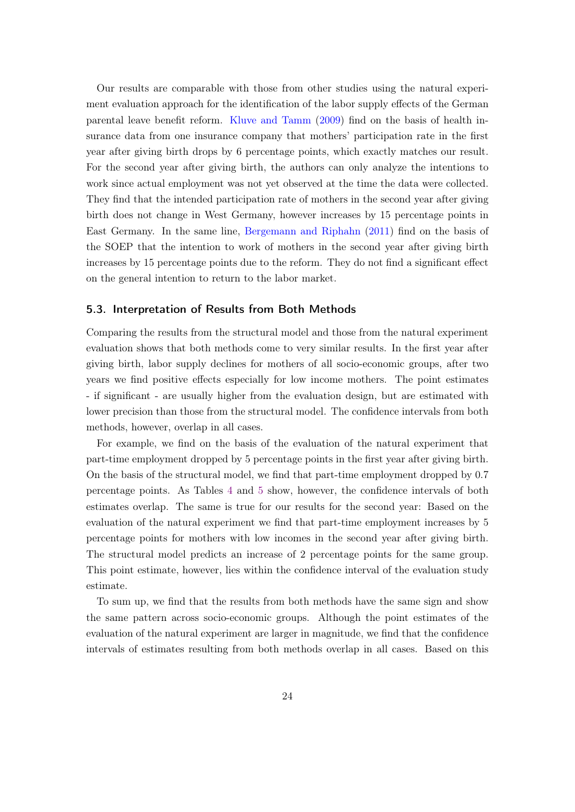Our results are comparable with those from other studies using the natural experiment evaluation approach for the identification of the labor supply effects of the German parental leave benefit reform. [Kluve and Tamm](#page-27-1) [\(2009\)](#page-27-1) find on the basis of health insurance data from one insurance company that mothers' participation rate in the first year after giving birth drops by 6 percentage points, which exactly matches our result. For the second year after giving birth, the authors can only analyze the intentions to work since actual employment was not yet observed at the time the data were collected. They find that the intended participation rate of mothers in the second year after giving birth does not change in West Germany, however increases by 15 percentage points in East Germany. In the same line, [Bergemann and Riphahn](#page-26-7) [\(2011\)](#page-26-7) find on the basis of the SOEP that the intention to work of mothers in the second year after giving birth increases by 15 percentage points due to the reform. They do not find a significant effect on the general intention to return to the labor market.

#### 5.3. Interpretation of Results from Both Methods

Comparing the results from the structural model and those from the natural experiment evaluation shows that both methods come to very similar results. In the first year after giving birth, labor supply declines for mothers of all socio-economic groups, after two years we find positive effects especially for low income mothers. The point estimates - if significant - are usually higher from the evaluation design, but are estimated with lower precision than those from the structural model. The confidence intervals from both methods, however, overlap in all cases.

For example, we find on the basis of the evaluation of the natural experiment that part-time employment dropped by 5 percentage points in the first year after giving birth. On the basis of the structural model, we find that part-time employment dropped by 0.7 percentage points. As Tables [4](#page-20-0) and [5](#page-23-0) show, however, the confidence intervals of both estimates overlap. The same is true for our results for the second year: Based on the evaluation of the natural experiment we find that part-time employment increases by 5 percentage points for mothers with low incomes in the second year after giving birth. The structural model predicts an increase of 2 percentage points for the same group. This point estimate, however, lies within the confidence interval of the evaluation study estimate.

To sum up, we find that the results from both methods have the same sign and show the same pattern across socio-economic groups. Although the point estimates of the evaluation of the natural experiment are larger in magnitude, we find that the confidence intervals of estimates resulting from both methods overlap in all cases. Based on this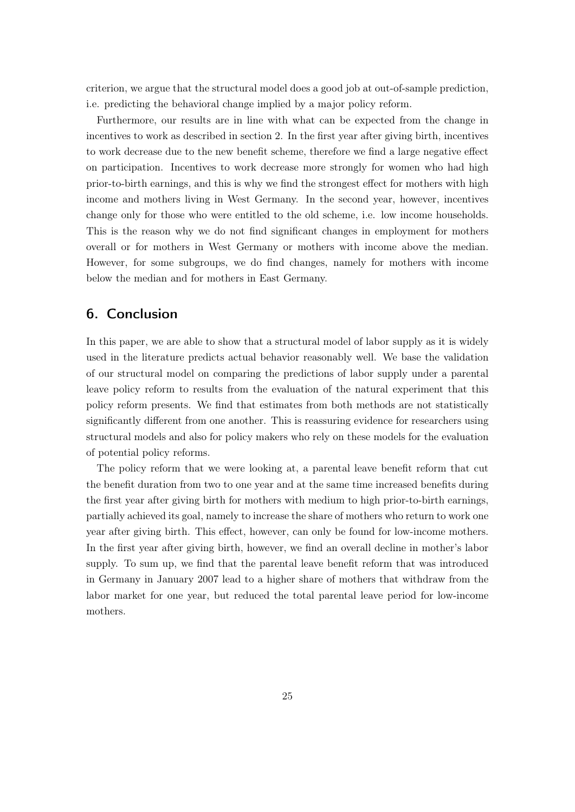criterion, we argue that the structural model does a good job at out-of-sample prediction, i.e. predicting the behavioral change implied by a major policy reform.

Furthermore, our results are in line with what can be expected from the change in incentives to work as described in section 2. In the first year after giving birth, incentives to work decrease due to the new benefit scheme, therefore we find a large negative effect on participation. Incentives to work decrease more strongly for women who had high prior-to-birth earnings, and this is why we find the strongest effect for mothers with high income and mothers living in West Germany. In the second year, however, incentives change only for those who were entitled to the old scheme, i.e. low income households. This is the reason why we do not find significant changes in employment for mothers overall or for mothers in West Germany or mothers with income above the median. However, for some subgroups, we do find changes, namely for mothers with income below the median and for mothers in East Germany.

## 6. Conclusion

In this paper, we are able to show that a structural model of labor supply as it is widely used in the literature predicts actual behavior reasonably well. We base the validation of our structural model on comparing the predictions of labor supply under a parental leave policy reform to results from the evaluation of the natural experiment that this policy reform presents. We find that estimates from both methods are not statistically significantly different from one another. This is reassuring evidence for researchers using structural models and also for policy makers who rely on these models for the evaluation of potential policy reforms.

The policy reform that we were looking at, a parental leave benefit reform that cut the benefit duration from two to one year and at the same time increased benefits during the first year after giving birth for mothers with medium to high prior-to-birth earnings, partially achieved its goal, namely to increase the share of mothers who return to work one year after giving birth. This effect, however, can only be found for low-income mothers. In the first year after giving birth, however, we find an overall decline in mother's labor supply. To sum up, we find that the parental leave benefit reform that was introduced in Germany in January 2007 lead to a higher share of mothers that withdraw from the labor market for one year, but reduced the total parental leave period for low-income mothers.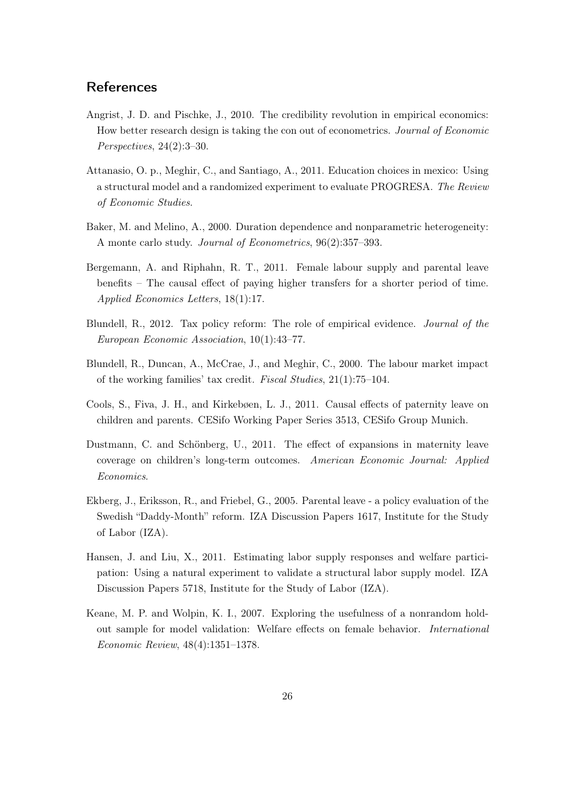## **References**

- <span id="page-26-2"></span>Angrist, J. D. and Pischke, J., 2010. The credibility revolution in empirical economics: How better research design is taking the con out of econometrics. Journal of Economic Perspectives, 24(2):3–30.
- <span id="page-26-4"></span>Attanasio, O. p., Meghir, C., and Santiago, A., 2011. Education choices in mexico: Using a structural model and a randomized experiment to evaluate PROGRESA. The Review of Economic Studies.
- <span id="page-26-10"></span>Baker, M. and Melino, A., 2000. Duration dependence and nonparametric heterogeneity: A monte carlo study. Journal of Econometrics, 96(2):357–393.
- <span id="page-26-7"></span>Bergemann, A. and Riphahn, R. T., 2011. Female labour supply and parental leave benefits – The causal effect of paying higher transfers for a shorter period of time. Applied Economics Letters, 18(1):17.
- <span id="page-26-0"></span>Blundell, R., 2012. Tax policy reform: The role of empirical evidence. Journal of the European Economic Association, 10(1):43–77.
- <span id="page-26-9"></span>Blundell, R., Duncan, A., McCrae, J., and Meghir, C., 2000. The labour market impact of the working families' tax credit. Fiscal Studies, 21(1):75–104.
- <span id="page-26-6"></span>Cools, S., Fiva, J. H., and Kirkebøen, L. J., 2011. Causal effects of paternity leave on children and parents. CESifo Working Paper Series 3513, CESifo Group Munich.
- <span id="page-26-8"></span>Dustmann, C. and Schönberg, U., 2011. The effect of expansions in maternity leave coverage on children's long-term outcomes. American Economic Journal: Applied Economics.
- <span id="page-26-5"></span>Ekberg, J., Eriksson, R., and Friebel, G., 2005. Parental leave - a policy evaluation of the Swedish "Daddy-Month" reform. IZA Discussion Papers 1617, Institute for the Study of Labor (IZA).
- <span id="page-26-1"></span>Hansen, J. and Liu, X., 2011. Estimating labor supply responses and welfare participation: Using a natural experiment to validate a structural labor supply model. IZA Discussion Papers 5718, Institute for the Study of Labor (IZA).
- <span id="page-26-3"></span>Keane, M. P. and Wolpin, K. I., 2007. Exploring the usefulness of a nonrandom holdout sample for model validation: Welfare effects on female behavior. International Economic Review, 48(4):1351–1378.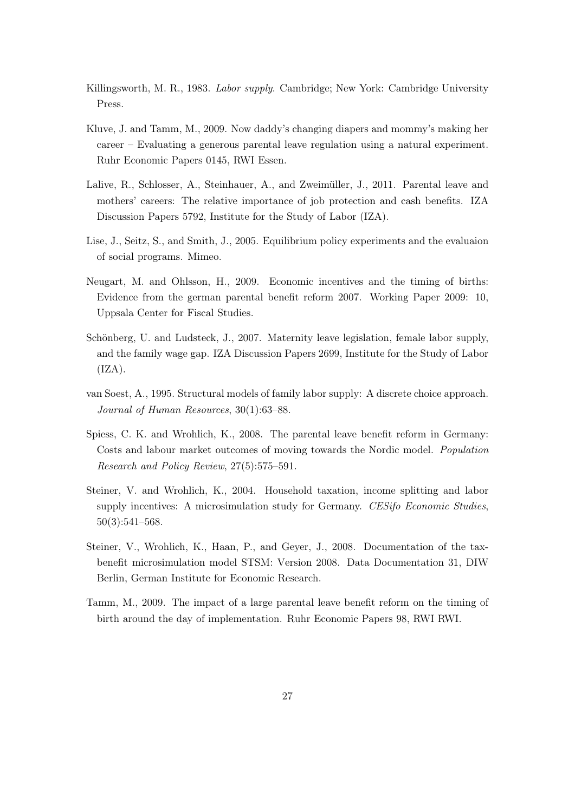- <span id="page-27-6"></span>Killingsworth, M. R., 1983. Labor supply. Cambridge; New York: Cambridge University Press.
- <span id="page-27-1"></span>Kluve, J. and Tamm, M., 2009. Now daddy's changing diapers and mommy's making her career – Evaluating a generous parental leave regulation using a natural experiment. Ruhr Economic Papers 0145, RWI Essen.
- <span id="page-27-4"></span>Lalive, R., Schlosser, A., Steinhauer, A., and Zweimüller, J., 2011. Parental leave and mothers' careers: The relative importance of job protection and cash benefits. IZA Discussion Papers 5792, Institute for the Study of Labor (IZA).
- <span id="page-27-0"></span>Lise, J., Seitz, S., and Smith, J., 2005. Equilibrium policy experiments and the evaluaion of social programs. Mimeo.
- <span id="page-27-8"></span>Neugart, M. and Ohlsson, H., 2009. Economic incentives and the timing of births: Evidence from the german parental benefit reform 2007. Working Paper 2009: 10, Uppsala Center for Fiscal Studies.
- <span id="page-27-2"></span>Schönberg, U. and Ludsteck, J., 2007. Maternity leave legislation, female labor supply, and the family wage gap. IZA Discussion Papers 2699, Institute for the Study of Labor  $(IZA).$
- <span id="page-27-5"></span>van Soest, A., 1995. Structural models of family labor supply: A discrete choice approach. Journal of Human Resources, 30(1):63–88.
- <span id="page-27-3"></span>Spiess, C. K. and Wrohlich, K., 2008. The parental leave benefit reform in Germany: Costs and labour market outcomes of moving towards the Nordic model. Population Research and Policy Review, 27(5):575–591.
- <span id="page-27-7"></span>Steiner, V. and Wrohlich, K., 2004. Household taxation, income splitting and labor supply incentives: A microsimulation study for Germany. CESifo Economic Studies, 50(3):541–568.
- <span id="page-27-10"></span>Steiner, V., Wrohlich, K., Haan, P., and Geyer, J., 2008. Documentation of the taxbenefit microsimulation model STSM: Version 2008. Data Documentation 31, DIW Berlin, German Institute for Economic Research.
- <span id="page-27-9"></span>Tamm, M., 2009. The impact of a large parental leave benefit reform on the timing of birth around the day of implementation. Ruhr Economic Papers 98, RWI RWI.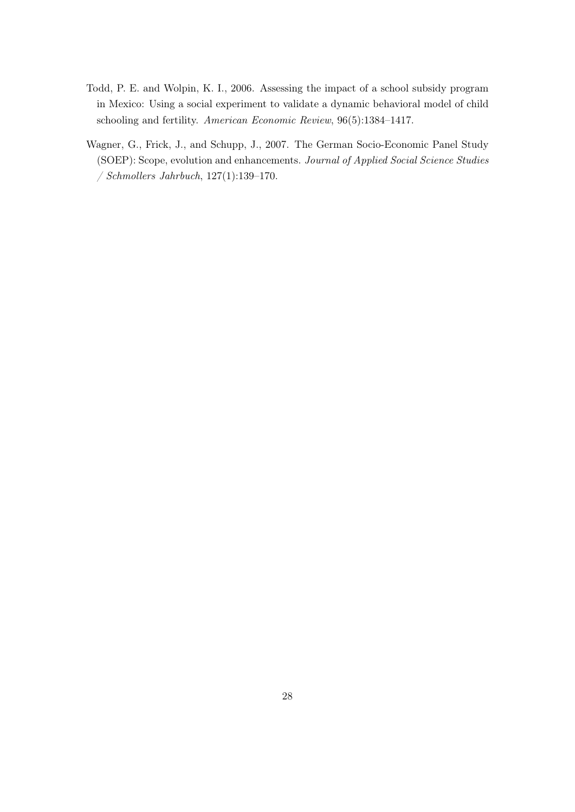- <span id="page-28-0"></span>Todd, P. E. and Wolpin, K. I., 2006. Assessing the impact of a school subsidy program in Mexico: Using a social experiment to validate a dynamic behavioral model of child schooling and fertility. American Economic Review, 96(5):1384–1417.
- <span id="page-28-1"></span>Wagner, G., Frick, J., and Schupp, J., 2007. The German Socio-Economic Panel Study (SOEP): Scope, evolution and enhancements. Journal of Applied Social Science Studies / Schmollers Jahrbuch, 127(1):139–170.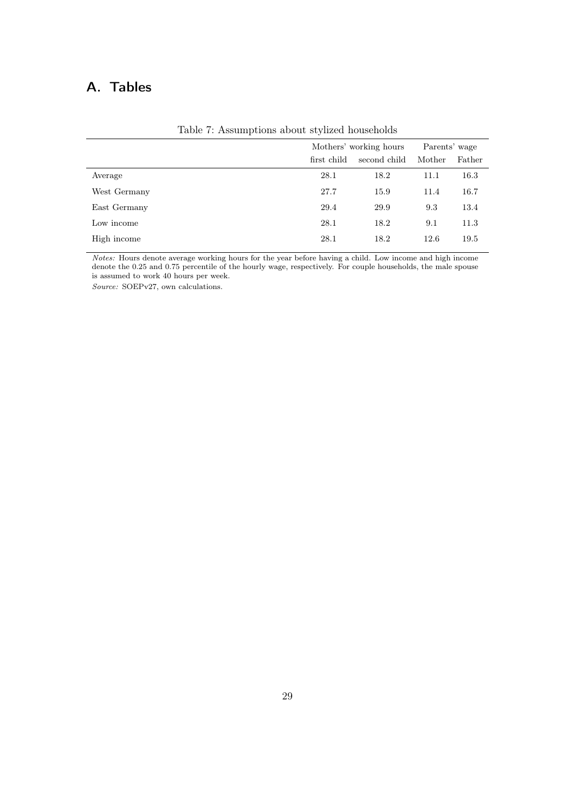## A. Tables

<span id="page-29-0"></span>

|              | Mothers' working hours |              | Parents' wage |        |
|--------------|------------------------|--------------|---------------|--------|
|              | first child            | second child | Mother        | Father |
| Average      | 28.1                   | 18.2         | 11.1          | 16.3   |
| West Germany | 27.7                   | 15.9         | 11.4          | 16.7   |
| East Germany | 29.4                   | 29.9         | 9.3           | 13.4   |
| Low income   | 28.1                   | 18.2         | 9.1           | 11.3   |
| High income  | 28.1                   | 18.2         | 12.6          | 19.5   |
|              |                        |              |               |        |

Table 7: Assumptions about stylized households

Notes: Hours denote average working hours for the year before having a child. Low income and high income denote the 0.25 and 0.75 percentile of the hourly wage, respectively. For couple households, the male spouse is assumed to work 40 hours per week.

Source: SOEPv27, own calculations.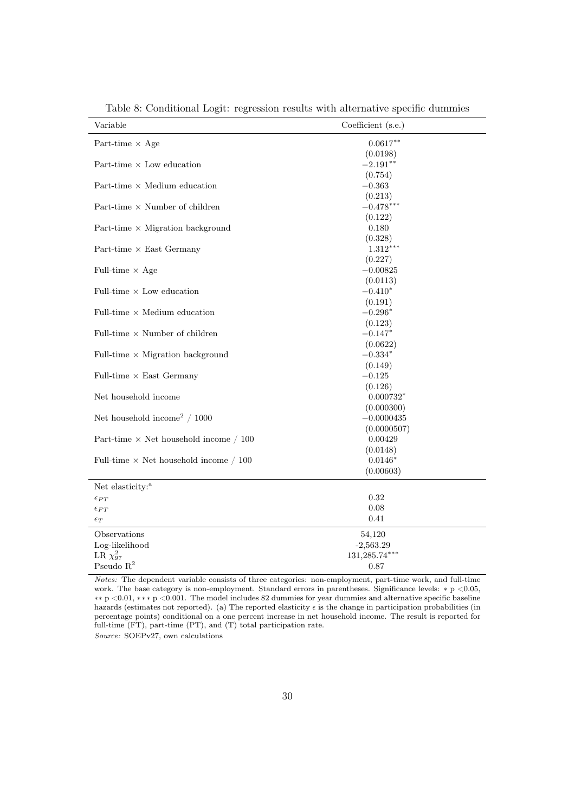| $0.0617***$<br>Part-time $\times$ Age<br>(0.0198)<br>$-2.191**$<br>Part-time $\times$ Low education<br>(0.754)<br>Part-time $\times$ Medium education<br>$-0.363$<br>(0.213)<br>$-0.478***$<br>Part-time $\times$ Number of children<br>(0.122)<br>0.180<br>Part-time $\times$ Migration background<br>(0.328)<br>Part-time $\times$ East Germany<br>$1.312***$<br>(0.227) |
|----------------------------------------------------------------------------------------------------------------------------------------------------------------------------------------------------------------------------------------------------------------------------------------------------------------------------------------------------------------------------|
|                                                                                                                                                                                                                                                                                                                                                                            |
|                                                                                                                                                                                                                                                                                                                                                                            |
|                                                                                                                                                                                                                                                                                                                                                                            |
|                                                                                                                                                                                                                                                                                                                                                                            |
|                                                                                                                                                                                                                                                                                                                                                                            |
|                                                                                                                                                                                                                                                                                                                                                                            |
|                                                                                                                                                                                                                                                                                                                                                                            |
|                                                                                                                                                                                                                                                                                                                                                                            |
|                                                                                                                                                                                                                                                                                                                                                                            |
|                                                                                                                                                                                                                                                                                                                                                                            |
|                                                                                                                                                                                                                                                                                                                                                                            |
|                                                                                                                                                                                                                                                                                                                                                                            |
| Full-time $\times$ Age<br>$-0.00825$                                                                                                                                                                                                                                                                                                                                       |
| (0.0113)                                                                                                                                                                                                                                                                                                                                                                   |
| Full-time $\times$ Low education<br>$-0.410*$                                                                                                                                                                                                                                                                                                                              |
| (0.191)                                                                                                                                                                                                                                                                                                                                                                    |
| Full-time $\times$ Medium education<br>$-0.296*$                                                                                                                                                                                                                                                                                                                           |
| (0.123)                                                                                                                                                                                                                                                                                                                                                                    |
| Full-time $\times$ Number of children<br>$-0.147*$                                                                                                                                                                                                                                                                                                                         |
| (0.0622)                                                                                                                                                                                                                                                                                                                                                                   |
| $-0.334*$<br>Full-time $\times$ Migration background                                                                                                                                                                                                                                                                                                                       |
| (0.149)                                                                                                                                                                                                                                                                                                                                                                    |
| $-0.125$<br>Full-time $\times$ East Germany                                                                                                                                                                                                                                                                                                                                |
| (0.126)                                                                                                                                                                                                                                                                                                                                                                    |
| Net household income<br>$0.000732*$                                                                                                                                                                                                                                                                                                                                        |
| (0.000300)                                                                                                                                                                                                                                                                                                                                                                 |
| Net household income <sup>2</sup> / 1000<br>$-0.0000435$                                                                                                                                                                                                                                                                                                                   |
| (0.0000507)                                                                                                                                                                                                                                                                                                                                                                |
| Part-time $\times$ Net household income / 100<br>0.00429                                                                                                                                                                                                                                                                                                                   |
| (0.0148)                                                                                                                                                                                                                                                                                                                                                                   |
| $0.0146*$<br>Full-time $\times$ Net household income / 100                                                                                                                                                                                                                                                                                                                 |
| (0.00603)                                                                                                                                                                                                                                                                                                                                                                  |
| Net elasticity: <sup>a</sup>                                                                                                                                                                                                                                                                                                                                               |
| 0.32<br>$\epsilon_{PT}$                                                                                                                                                                                                                                                                                                                                                    |
| 0.08<br>$\epsilon_{FT}$                                                                                                                                                                                                                                                                                                                                                    |
| 0.41<br>$\epsilon_T$                                                                                                                                                                                                                                                                                                                                                       |
| Observations<br>54,120                                                                                                                                                                                                                                                                                                                                                     |
| Log-likelihood<br>$-2,563.29$                                                                                                                                                                                                                                                                                                                                              |
| LR $\chi^2_{97}$<br>$131,285.74***$                                                                                                                                                                                                                                                                                                                                        |
| Pseudo $R^2$<br>0.87                                                                                                                                                                                                                                                                                                                                                       |

Table 8: Conditional Logit: regression results with alternative specific dummies

Notes: The dependent variable consists of three categories: non-employment, part-time work, and full-time work. The base category is non-employment. Standard errors in parentheses. Significance levels: ∗ p <0.05, ∗∗ p <0.01, ∗∗∗ p <0.001. The model includes 82 dummies for year dummies and alternative specific baseline hazards (estimates not reported). (a) The reported elasticity  $\epsilon$  is the change in participation probabilities (in percentage points) conditional on a one percent increase in net household income. The result is reported for full-time (FT), part-time (PT), and (T) total participation rate.

Source: SOEPv27, own calculations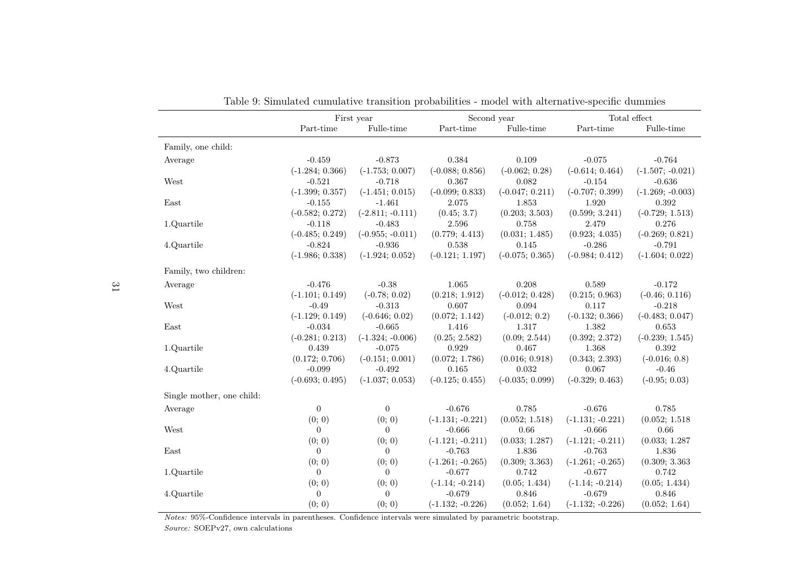|                           |                   | First year         | Second year        |                   |                    | Total effect       |
|---------------------------|-------------------|--------------------|--------------------|-------------------|--------------------|--------------------|
|                           | Part-time         | Fulle-time         | Part-time          | Fulle-time        | Part-time          | Fulle-time         |
| Family, one child:        |                   |                    |                    |                   |                    |                    |
| Average                   | $-0.459$          | $-0.873$           | 0.384              | 0.109             | $-0.075$           | $-0.764$           |
|                           | $(-1.284; 0.366)$ | $(-1.753; 0.007)$  | $(-0.088; 0.856)$  | $(-0.062; 0.28)$  | $(-0.614; 0.464)$  | $(-1.507; -0.021)$ |
| West                      | $-0.521$          | $-0.718$           | 0.367              | 0.082             | $-0.154$           | $-0.636$           |
|                           | $(-1.399; 0.357)$ | $(-1.451; 0.015)$  | $(-0.099; 0.833)$  | $(-0.047; 0.211)$ | $(-0.707; 0.399)$  | $(-1.269; -0.003)$ |
| East                      | $-0.155$          | $-1.461$           | 2.075              | 1.853             | 1.920              | 0.392              |
|                           | $(-0.582; 0.272)$ | $(-2.811; -0.111)$ | (0.45; 3.7)        | (0.203; 3.503)    | (0.599; 3.241)     | $(-0.729; 1.513)$  |
| 1.Quartile                | $-0.118$          | $-0.483$           | 2.596              | 0.758             | 2.479              | 0.276              |
|                           | $(-0.485; 0.249)$ | $(-0.955; -0.011)$ | (0.779; 4.413)     | (0.031; 1.485)    | (0.923; 4.035)     | $(-0.269; 0.821)$  |
| 4.Quartile                | $-0.824$          | $-0.936$           | 0.538              | 0.145             | $-0.286$           | $-0.791$           |
|                           | $(-1.986; 0.338)$ | $(-1.924; 0.052)$  | $(-0.121; 1.197)$  | $(-0.075; 0.365)$ | $(-0.984; 0.412)$  | $(-1.604; 0.022)$  |
| Family, two children:     |                   |                    |                    |                   |                    |                    |
| Average                   | $-0.476$          | $-0.38$            | 1.065              | 0.208             | 0.589              | $-0.172$           |
|                           | $(-1.101; 0.149)$ | $(-0.78; 0.02)$    | (0.218; 1.912)     | $(-0.012; 0.428)$ | (0.215; 0.963)     | $(-0.46; 0.116)$   |
| West                      | $-0.49$           | $-0.313$           | 0.607              | 0.094             | 0.117              | $-0.218$           |
|                           | $(-1.129; 0.149)$ | $(-0.646; 0.02)$   | (0.072; 1.142)     | $(-0.012; 0.2)$   | $(-0.132; 0.366)$  | $(-0.483; 0.047)$  |
| East                      | $-0.034$          | $-0.665$           | 1.416              | 1.317             | 1.382              | 0.653              |
|                           | $(-0.281; 0.213)$ | $(-1.324; -0.006)$ | (0.25; 2.582)      | (0.09; 2.544)     | (0.392; 2.372)     | $(-0.239; 1.545)$  |
| 1.Quartile                | 0.439             | $-0.075$           | 0.929              | 0.467             | 1.368              | 0.392              |
|                           | (0.172; 0.706)    | $(-0.151; 0.001)$  | (0.072; 1.786)     | (0.016; 0.918)    | (0.343; 2.393)     | $(-0.016; 0.8)$    |
| 4.Quartile                | $-0.099$          | $-0.492$           | 0.165              | 0.032             | 0.067              | $-0.46$            |
|                           | $(-0.693; 0.495)$ | $(-1.037; 0.053)$  | $(-0.125; 0.455)$  | $(-0.035; 0.099)$ | $(-0.329; 0.463)$  | $(-0.95; 0.03)$    |
| Single mother, one child: |                   |                    |                    |                   |                    |                    |
| Average                   | $\mathbf{0}$      | $\overline{0}$     | $-0.676$           | 0.785             | $-0.676$           | 0.785              |
|                           | (0; 0)            | (0; 0)             | $(-1.131; -0.221)$ | (0.052; 1.518)    | $(-1.131; -0.221)$ | (0.052; 1.518)     |
| West                      | $\overline{0}$    | $\Omega$           | $-0.666$           | 0.66              | $-0.666$           | 0.66               |
|                           | (0; 0)            | (0; 0)             | $(-1.121; -0.211)$ | (0.033; 1.287)    | $(-1.121; -0.211)$ | (0.033; 1.287)     |
| East                      | $\overline{0}$    | $\overline{0}$     | $-0.763$           | 1.836             | $-0.763$           | 1.836              |
|                           | (0; 0)            | (0; 0)             | $(-1.261; -0.265)$ | (0.309; 3.363)    | $(-1.261; -0.265)$ | (0.309; 3.363)     |
| 1.Quartile                | $\overline{0}$    | $\overline{0}$     | $-0.677$           | 0.742             | $-0.677$           | 0.742              |
|                           | (0; 0)            | (0; 0)             | $(-1.14; -0.214)$  | (0.05; 1.434)     | $(-1.14; -0.214)$  | (0.05; 1.434)      |
| 4.Quartile                | $\overline{0}$    | $\theta$           | $-0.679$           | 0.846             | $-0.679$           | 0.846              |
|                           | (0; 0)            | (0; 0)             | $(-1.132; -0.226)$ | (0.052; 1.64)     | $(-1.132; -0.226)$ | (0.052; 1.64)      |

|  |  | Table 9: Simulated cumulative transition probabilities - model with alternative-specific dummies |
|--|--|--------------------------------------------------------------------------------------------------|

Notes: 95%-Confidence intervals in parentheses. Confidence intervals were simulated by parametric bootstrap.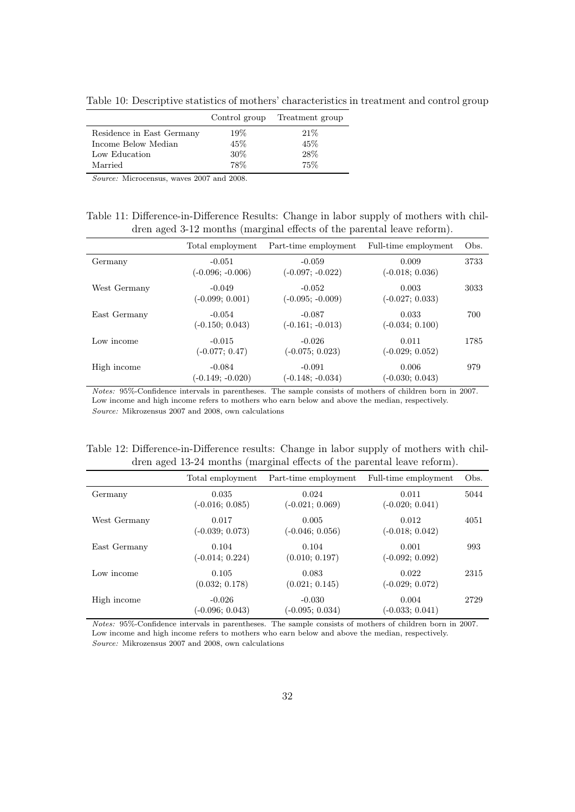<span id="page-32-0"></span>Table 10: Descriptive statistics of mothers' characteristics in treatment and control group

|                           |     | Control group Treatment group |
|---------------------------|-----|-------------------------------|
| Residence in East Germany | 19% | 21%                           |
| Income Below Median       | 45% | 45\%                          |
| Low Education             | 30% | 28%                           |
| Married                   | 78% | 75%                           |

Source: Microcensus, waves 2007 and 2008.

<span id="page-32-1"></span>Table 11: Difference-in-Difference Results: Change in labor supply of mothers with children aged 3-12 months (marginal effects of the parental leave reform).

|              | Total employment               | Part-time employment           | Full-time employment       | Obs. |
|--------------|--------------------------------|--------------------------------|----------------------------|------|
| Germany      | $-0.051$<br>$(-0.096; -0.006)$ | $-0.059$<br>$(-0.097; -0.022)$ | 0.009<br>$(-0.018; 0.036)$ | 3733 |
| West Germany | $-0.049$<br>$(-0.099; 0.001)$  | $-0.052$<br>$(-0.095; -0.009)$ | 0.003<br>$(-0.027; 0.033)$ | 3033 |
| East Germany | $-0.054$<br>$(-0.150; 0.043)$  | $-0.087$<br>$(-0.161; -0.013)$ | 0.033<br>$(-0.034; 0.100)$ | 700  |
| Low income   | $-0.015$<br>$(-0.077; 0.47)$   | $-0.026$<br>$(-0.075; 0.023)$  | 0.011<br>$(-0.029; 0.052)$ | 1785 |
| High income  | $-0.084$<br>$(-0.149; -0.020)$ | $-0.091$<br>$(-0.148; -0.034)$ | 0.006<br>$(-0.030; 0.043)$ | 979  |

Notes: 95%-Confidence intervals in parentheses. The sample consists of mothers of children born in 2007. Low income and high income refers to mothers who earn below and above the median, respectively. Source: Mikrozensus 2007 and 2008, own calculations

<span id="page-32-2"></span>

|  | Table 12: Difference-in-Difference results: Change in labor supply of mothers with chil- |  |  |  |  |
|--|------------------------------------------------------------------------------------------|--|--|--|--|
|  | dren aged 13-24 months (marginal effects of the parental leave reform).                  |  |  |  |  |

| $\checkmark$ |                               | $\cdot$                       |                            |      |
|--------------|-------------------------------|-------------------------------|----------------------------|------|
|              | Total employment              | Part-time employment          | Full-time employment       | Obs. |
| Germany      | 0.035<br>$(-0.016; 0.085)$    | 0.024<br>$(-0.021; 0.069)$    | 0.011<br>$(-0.020; 0.041)$ | 5044 |
| West Germany | 0.017<br>$(-0.039; 0.073)$    | 0.005<br>$(-0.046; 0.056)$    | 0.012<br>$(-0.018; 0.042)$ | 4051 |
| East Germany | 0.104<br>$(-0.014; 0.224)$    | 0.104<br>(0.010; 0.197)       | 0.001<br>$(-0.092; 0.092)$ | 993  |
| Low income   | 0.105<br>(0.032; 0.178)       | 0.083<br>(0.021; 0.145)       | 0.022<br>$(-0.029; 0.072)$ | 2315 |
| High income  | $-0.026$<br>$(-0.096; 0.043)$ | $-0.030$<br>$(-0.095; 0.034)$ | 0.004<br>$(-0.033; 0.041)$ | 2729 |

Notes: 95%-Confidence intervals in parentheses. The sample consists of mothers of children born in 2007. Low income and high income refers to mothers who earn below and above the median, respectively. Source: Mikrozensus 2007 and 2008, own calculations